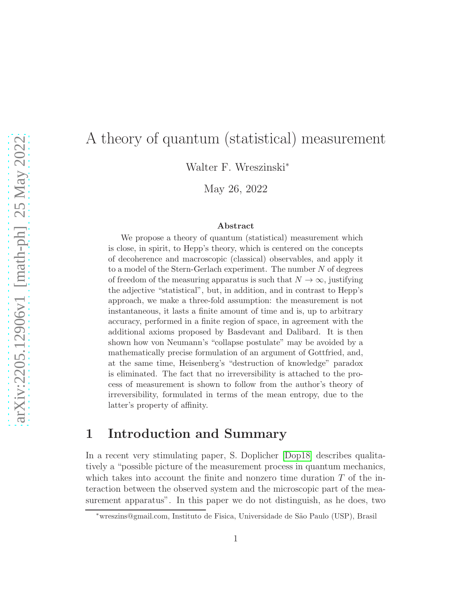# A theory of quantum (statistical) measurement

Walter F. Wreszinski<sup>∗</sup>

May 26, 2022

#### Abstract

We propose a theory of quantum (statistical) measurement which is close, in spirit, to Hepp's theory, which is centered on the concepts of decoherence and macroscopic (classical) observables, and apply it to a model of the Stern-Gerlach experiment. The number  $N$  of degrees of freedom of the measuring apparatus is such that  $N \to \infty$ , justifying the adjective "statistical", but, in addition, and in contrast to Hepp's approach, we make a three-fold assumption: the measurement is not instantaneous, it lasts a finite amount of time and is, up to arbitrary accuracy, performed in a finite region of space, in agreement with the additional axioms proposed by Basdevant and Dalibard. It is then shown how von Neumann's "collapse postulate" may be avoided by a mathematically precise formulation of an argument of Gottfried, and, at the same time, Heisenberg's "destruction of knowledge" paradox is eliminated. The fact that no irreversibility is attached to the process of measurement is shown to follow from the author's theory of irreversibility, formulated in terms of the mean entropy, due to the latter's property of affinity.

## 1 Introduction and Summary

In a recent very stimulating paper, S. Doplicher [\[Dop18\]](#page-28-0) describes qualitatively a "possible picture of the measurement process in quantum mechanics, which takes into account the finite and nonzero time duration  $T$  of the interaction between the observed system and the microscopic part of the measurement apparatus". In this paper we do not distinguish, as he does, two

<sup>∗</sup>wreszins@gmail.com, Instituto de Fisica, Universidade de S˜ao Paulo (USP), Brasil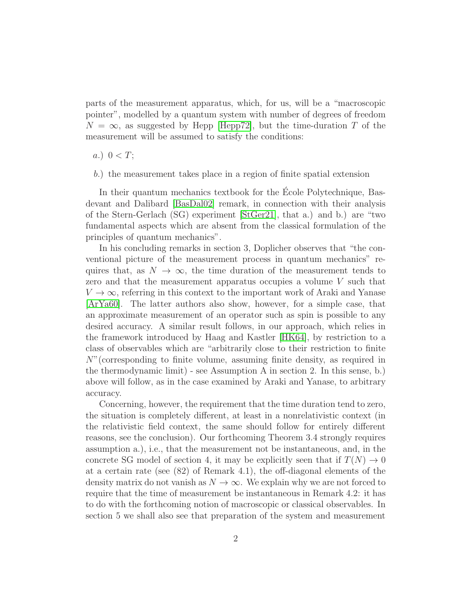parts of the measurement apparatus, which, for us, will be a "macroscopic pointer", modelled by a quantum system with number of degrees of freedom  $N = \infty$ , as suggested by Hepp [\[Hepp72\]](#page-28-1), but the time-duration T of the measurement will be assumed to satisfy the conditions:

a.)  $0 < T$ ;

b.) the measurement takes place in a region of finite spatial extension

In their quantum mechanics textbook for the Ecole Polytechnique, Basdevant and Dalibard [\[BasDal02\]](#page-28-2) remark, in connection with their analysis of the Stern-Gerlach (SG) experiment [\[StGer21\]](#page-28-3), that a.) and b.) are "two fundamental aspects which are absent from the classical formulation of the principles of quantum mechanics".

In his concluding remarks in section 3, Doplicher observes that "the conventional picture of the measurement process in quantum mechanics" requires that, as  $N \to \infty$ , the time duration of the measurement tends to zero and that the measurement apparatus occupies a volume V such that  $V \to \infty$ , referring in this context to the important work of Araki and Yanase [\[ArYa60\]](#page-28-4). The latter authors also show, however, for a simple case, that an approximate measurement of an operator such as spin is possible to any desired accuracy. A similar result follows, in our approach, which relies in the framework introduced by Haag and Kastler [\[HK64\]](#page-28-5), by restriction to a class of observables which are "arbitrarily close to their restriction to finite N"(corresponding to finite volume, assuming finite density, as required in the thermodynamic limit) - see Assumption A in section 2. In this sense, b.) above will follow, as in the case examined by Araki and Yanase, to arbitrary accuracy.

Concerning, however, the requirement that the time duration tend to zero, the situation is completely different, at least in a nonrelativistic context (in the relativistic field context, the same should follow for entirely different reasons, see the conclusion). Our forthcoming Theorem 3.4 strongly requires assumption a.), i.e., that the measurement not be instantaneous, and, in the concrete SG model of section 4, it may be explicitly seen that if  $T(N) \rightarrow 0$ at a certain rate (see (82) of Remark 4.1), the off-diagonal elements of the density matrix do not vanish as  $N \to \infty$ . We explain why we are not forced to require that the time of measurement be instantaneous in Remark 4.2: it has to do with the forthcoming notion of macroscopic or classical observables. In section 5 we shall also see that preparation of the system and measurement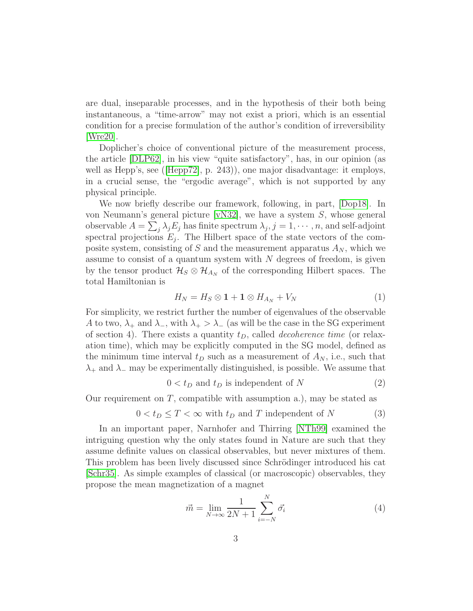are dual, inseparable processes, and in the hypothesis of their both being instantaneous, a "time-arrow" may not exist a priori, which is an essential condition for a precise formulation of the author's condition of irreversibility [\[Wre20\]](#page-28-6).

Doplicher's choice of conventional picture of the measurement process, the article [\[DLP62\]](#page-29-0), in his view "quite satisfactory", has, in our opinion (as well as Hepp's, see ([\[Hepp72\]](#page-28-1), p. 243)), one major disadvantage: it employs, in a crucial sense, the "ergodic average", which is not supported by any physical principle.

We now briefly describe our framework, following, in part, [\[Dop18\]](#page-28-0). In von Neumann's general picture [\[vN32\]](#page-29-1), we have a system S, whose general observable  $A = \sum_j \lambda_j E_j$  has finite spectrum  $\lambda_j$ ,  $j = 1, \dots, n$ , and self-adjoint spectral projections  $E_j$ . The Hilbert space of the state vectors of the composite system, consisting of S and the measurement apparatus  $A_N$ , which we assume to consist of a quantum system with  $N$  degrees of freedom, is given by the tensor product  $\mathcal{H}_{S} \otimes \mathcal{H}_{A_N}$  of the corresponding Hilbert spaces. The total Hamiltonian is

<span id="page-2-1"></span>
$$
H_N = H_S \otimes \mathbf{1} + \mathbf{1} \otimes H_{A_N} + V_N \tag{1}
$$

For simplicity, we restrict further the number of eigenvalues of the observable A to two,  $\lambda_+$  and  $\lambda_-,$  with  $\lambda_+ > \lambda_-$  (as will be the case in the SG experiment of section 4). There exists a quantity  $t_D$ , called *decoherence time* (or relaxation time), which may be explicitly computed in the SG model, defined as the minimum time interval  $t_D$  such as a measurement of  $A_N$ , i.e., such that  $\lambda_+$  and  $\lambda_-$  may be experimentally distinguished, is possible. We assume that

$$
0 < t_D \text{ and } t_D \text{ is independent of } N \tag{2}
$$

Our requirement on  $T$ , compatible with assumption a.), may be stated as

<span id="page-2-2"></span>
$$
0 < t_D \le T < \infty \text{ with } t_D \text{ and } T \text{ independent of } N \tag{3}
$$

In an important paper, Narnhofer and Thirring [\[NTh99\]](#page-29-2) examined the intriguing question why the only states found in Nature are such that they assume definite values on classical observables, but never mixtures of them. This problem has been lively discussed since Schrödinger introduced his cat [\[Schr35\]](#page-29-3). As simple examples of classical (or macroscopic) observables, they propose the mean magnetization of a magnet

<span id="page-2-0"></span>
$$
\vec{m} = \lim_{N \to \infty} \frac{1}{2N+1} \sum_{i=-N}^{N} \vec{\sigma_i}
$$
\n(4)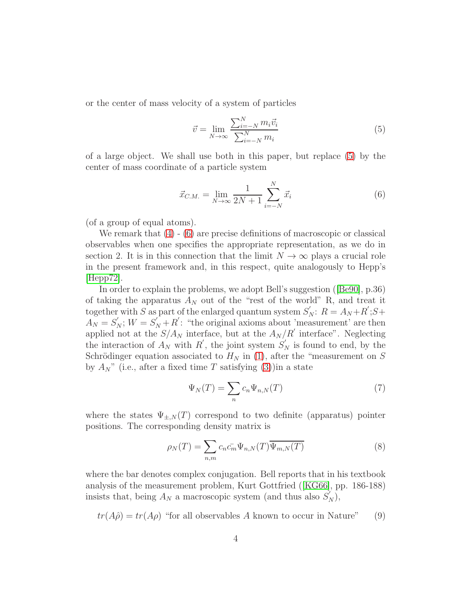or the center of mass velocity of a system of particles

<span id="page-3-0"></span>
$$
\vec{v} = \lim_{N \to \infty} \frac{\sum_{i=-N}^{N} m_i \vec{v}_i}{\sum_{i=-N}^{N} m_i} \tag{5}
$$

of a large object. We shall use both in this paper, but replace [\(5\)](#page-3-0) by the center of mass coordinate of a particle system

<span id="page-3-1"></span>
$$
\vec{x}_{C.M.} = \lim_{N \to \infty} \frac{1}{2N+1} \sum_{i=-N}^{N} \vec{x}_i
$$
 (6)

(of a group of equal atoms).

We remark that  $(4)$  -  $(6)$  are precise definitions of macroscopic or classical observables when one specifies the appropriate representation, as we do in section 2. It is in this connection that the limit  $N \to \infty$  plays a crucial role in the present framework and, in this respect, quite analogously to Hepp's  $|Hepp72|$ .

In order to explain the problems, we adopt Bell's suggestion ([\[Be90\]](#page-29-4), p.36) of taking the apparatus  $A_N$  out of the "rest of the world" R, and treat it together with S as part of the enlarged quantum system  $S'_N$ :  $R = A_N + R'; S +$  $\overline{A_N} = S'_N$ ;  $W = S'_N + R'$ : "the original axioms about 'measurement' are then applied not at the  $S/A_N$  interface, but at the  $A_N/R'$  interface". Neglecting the interaction of  $A_N$  with  $R'$ , the joint system  $S'_N$  is found to end, by the Schrödinger equation associated to  $H_N$  in [\(1\)](#page-2-1), after the "measurement on S by  $A_N$ " (i.e., after a fixed time T satisfying [\(3\)](#page-2-2))in a state

$$
\Psi_N(T) = \sum_n c_n \Psi_{n,N}(T) \tag{7}
$$

where the states  $\Psi_{\pm,N}(T)$  correspond to two definite (apparatus) pointer positions. The corresponding density matrix is

<span id="page-3-3"></span>
$$
\rho_N(T) = \sum_{n,m} c_n \bar{c}_m \Psi_{n,N}(T) \overline{\Psi_{m,N}(T)}
$$
(8)

where the bar denotes complex conjugation. Bell reports that in his textbook analysis of the measurement problem, Kurt Gottfried ([\[KG66\]](#page-29-5), pp. 186-188) insists that, being  $A_N$  a macroscopic system (and thus also  $S'_N$ ),

<span id="page-3-2"></span>
$$
tr(A\hat{\rho}) = tr(A\rho)
$$
 "for all observables A known to occur in Nature" (9)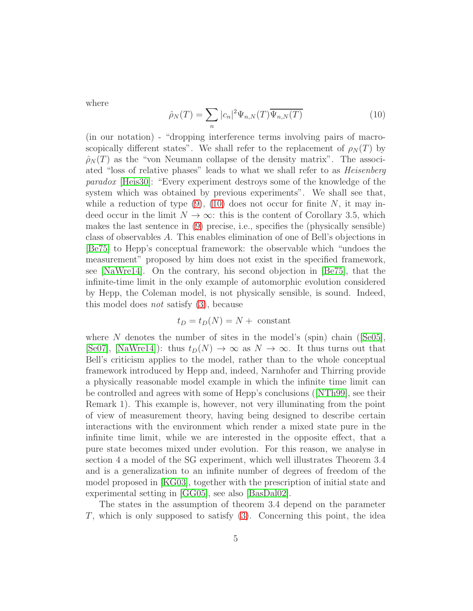where

<span id="page-4-0"></span>
$$
\hat{\rho}_N(T) = \sum_n |c_n|^2 \Psi_{n,N}(T) \overline{\Psi_{n,N}(T)}
$$
\n(10)

(in our notation) - "dropping interference terms involving pairs of macroscopically different states". We shall refer to the replacement of  $\rho_N(T)$  by  $\rho_N(T)$  as the "von Neumann collapse of the density matrix". The associated "loss of relative phases" leads to what we shall refer to as Heisenberg paradox [\[Heis30\]](#page-29-6): "Every experiment destroys some of the knowledge of the system which was obtained by previous experiments". We shall see that, while a reduction of type  $(9)$ ,  $(10)$  does not occur for finite N, it may indeed occur in the limit  $N \to \infty$ : this is the content of Corollary 3.5, which makes the last sentence in [\(9\)](#page-3-2) precise, i.e., specifies the (physically sensible) class of observables A. This enables elimination of one of Bell's objections in [\[Be75\]](#page-29-7) to Hepp's conceptual framework: the observable which "undoes the measurement" proposed by him does not exist in the specified framework, see [\[NaWre14\]](#page-29-8). On the contrary, his second objection in [\[Be75\]](#page-29-7), that the infinite-time limit in the only example of automorphic evolution considered by Hepp, the Coleman model, is not physically sensible, is sound. Indeed, this model does not satisfy [\(3\)](#page-2-2), because

$$
t_D = t_D(N) = N + \text{ constant}
$$

where  $N$  denotes the number of sites in the model's (spin) chain ([\[Se05\]](#page-29-9), [\[Se07\]](#page-29-10), [\[NaWre14\]](#page-29-8)): thus  $t_D(N) \to \infty$  as  $N \to \infty$ . It thus turns out that Bell's criticism applies to the model, rather than to the whole conceptual framework introduced by Hepp and, indeed, Narnhofer and Thirring provide a physically reasonable model example in which the infinite time limit can be controlled and agrees with some of Hepp's conclusions ([\[NTh99\]](#page-29-2), see their Remark 1). This example is, however, not very illuminating from the point of view of measurement theory, having being designed to describe certain interactions with the environment which render a mixed state pure in the infinite time limit, while we are interested in the opposite effect, that a pure state becomes mixed under evolution. For this reason, we analyse in section 4 a model of the SG experiment, which well illustrates Theorem 3.4 and is a generalization to an infinite number of degrees of freedom of the model proposed in [\[KG03\]](#page-29-11), together with the prescription of initial state and experimental setting in [\[GG05\]](#page-29-12), see also [\[BasDal02\]](#page-28-2).

The states in the assumption of theorem 3.4 depend on the parameter  $T$ , which is only supposed to satisfy  $(3)$ . Concerning this point, the idea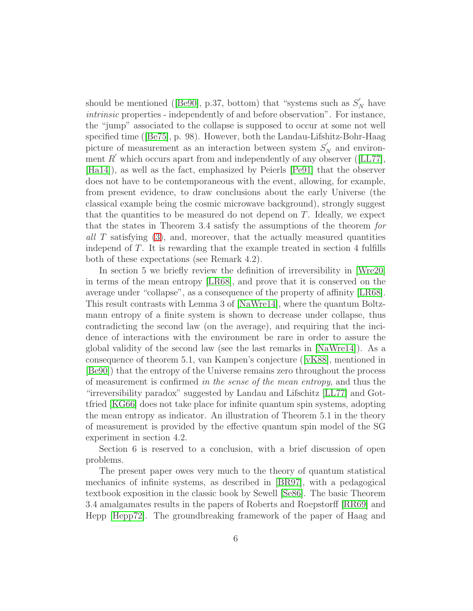should be mentioned ([\[Be90\]](#page-29-4), p.37, bottom) that "systems such as  $S'_{N}$  have intrinsic properties - independently of and before observation". For instance, the "jump" associated to the collapse is supposed to occur at some not well specified time ([\[Be75\]](#page-29-7), p. 98). However, both the Landau-Lifshitz-Bohr-Haag picture of measurement as an interaction between system  $S'_{N}$  and environment  $R'$  which occurs apart from and independently of any observer ([\[LL77\]](#page-30-0), [\[Ha14\]](#page-30-1)), as well as the fact, emphasized by Peierls [\[Pe91\]](#page-30-2) that the observer does not have to be contemporaneous with the event, allowing, for example, from present evidence, to draw conclusions about the early Universe (the classical example being the cosmic microwave background), strongly suggest that the quantities to be measured do not depend on  $T$ . Ideally, we expect that the states in Theorem 3.4 satisfy the assumptions of the theorem for all T satisfying [\(3\)](#page-2-2), and, moreover, that the actually measured quantities independ of T. It is rewarding that the example treated in section 4 fulfills both of these expectations (see Remark 4.2).

In section 5 we briefly review the definition of irreversibility in [\[Wre20\]](#page-28-6) in terms of the mean entropy [\[LR68\]](#page-30-3), and prove that it is conserved on the average under "collapse", as a consequence of the property of affinity [\[LR68\]](#page-30-3). This result contrasts with Lemma 3 of [\[NaWre14\]](#page-29-8), where the quantum Boltzmann entropy of a finite system is shown to decrease under collapse, thus contradicting the second law (on the average), and requiring that the incidence of interactions with the environment be rare in order to assure the global validity of the second law (see the last remarks in [\[NaWre14\]](#page-29-8)). As a consequence of theorem 5.1, van Kampen's conjecture ([\[vK88\]](#page-30-4), mentioned in [\[Be90\]](#page-29-4)) that the entropy of the Universe remains zero throughout the process of measurement is confirmed in the sense of the mean entropy, and thus the "irreversibility paradox" suggested by Landau and Lifschitz [\[LL77\]](#page-30-0) and Gottfried [\[KG66\]](#page-29-5) does not take place for infinite quantum spin systems, adopting the mean entropy as indicator. An illustration of Theorem 5.1 in the theory of measurement is provided by the effective quantum spin model of the SG experiment in section 4.2.

Section 6 is reserved to a conclusion, with a brief discussion of open problems.

The present paper owes very much to the theory of quantum statistical mechanics of infinite systems, as described in [\[BR97\]](#page-30-5), with a pedagogical textbook exposition in the classic book by Sewell [\[Se86\]](#page-30-6). The basic Theorem 3.4 amalgamates results in the papers of Roberts and Roepstorff [\[RR69\]](#page-30-7) and Hepp [\[Hepp72\]](#page-28-1). The groundbreaking framework of the paper of Haag and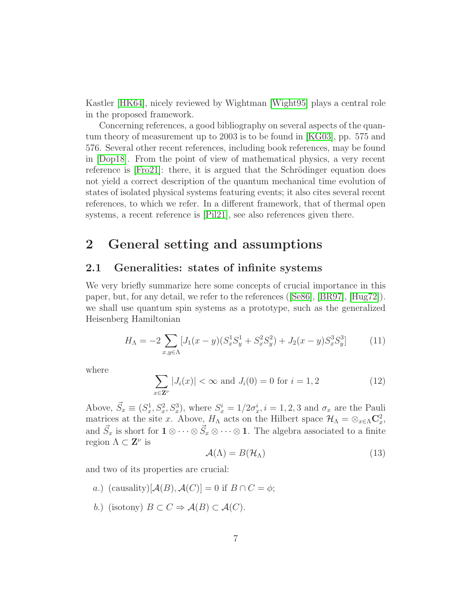Kastler [\[HK64\]](#page-28-5), nicely reviewed by Wightman [\[Wight95\]](#page-30-8) plays a central role in the proposed framework.

Concerning references, a good bibliography on several aspects of the quantum theory of measurement up to 2003 is to be found in [\[KG03\]](#page-29-11), pp. 575 and 576. Several other recent references, including book references, may be found in [\[Dop18\]](#page-28-0). From the point of view of mathematical physics, a very recent reference is  $[Fig 21]$ : there, it is argued that the Schrödinger equation does not yield a correct description of the quantum mechanical time evolution of states of isolated physical systems featuring events; it also cites several recent references, to which we refer. In a different framework, that of thermal open systems, a recent reference is [\[Pil21\]](#page-30-10), see also references given there.

# 2 General setting and assumptions

### 2.1 Generalities: states of infinite systems

We very briefly summarize here some concepts of crucial importance in this paper, but, for any detail, we refer to the references ([\[Se86\]](#page-30-6), [\[BR97\]](#page-30-5), [\[Hug72\]](#page-30-11)). we shall use quantum spin systems as a prototype, such as the generalized Heisenberg Hamiltonian

<span id="page-6-0"></span>
$$
H_{\Lambda} = -2 \sum_{x,y \in \Lambda} [J_1(x-y)(S_x^1 S_y^1 + S_x^2 S_y^2) + J_2(x-y) S_x^3 S_y^3]
$$
(11)

where

$$
\sum_{x \in \mathbf{Z}^{\nu}} |J_i(x)| < \infty \text{ and } J_i(0) = 0 \text{ for } i = 1, 2 \tag{12}
$$

Above,  $\vec{S}_x \equiv (S_x^1, S_x^2, S_x^3)$ , where  $S_x^i = 1/2\sigma_x^i$ ,  $i = 1, 2, 3$  and  $\sigma_x$  are the Pauli matrices at the site x. Above,  $H_{\Lambda}$  acts on the Hilbert space  $\mathcal{H}_{\Lambda} = \otimes_{x \in \Lambda} \mathbb{C}^2_x$ , and  $\vec{S}_x$  is short for  $1 \otimes \cdots \otimes \vec{S}_x \otimes \cdots \otimes 1$ . The algebra associated to a finite region  $\Lambda \subset \mathbf{Z}^{\nu}$  is

$$
\mathcal{A}(\Lambda) = B(\mathcal{H}_{\Lambda}) \tag{13}
$$

and two of its properties are crucial:

- a.) (causality)[ $\mathcal{A}(B), \mathcal{A}(C)$ ] = 0 if  $B \cap C = \phi$ ;
- b.) (isotony)  $B \subset C \Rightarrow \mathcal{A}(B) \subset \mathcal{A}(C)$ .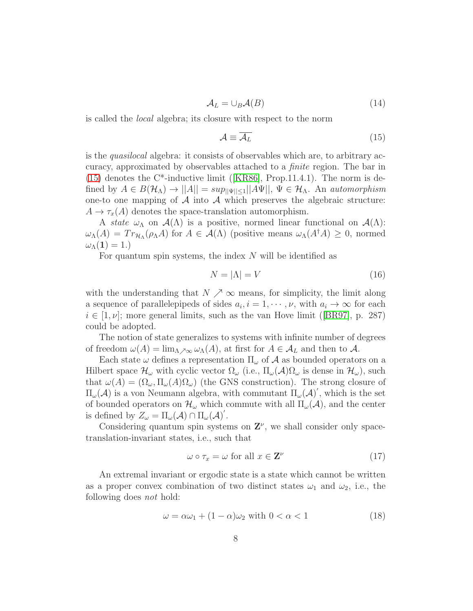<span id="page-7-3"></span>
$$
\mathcal{A}_L = \cup_B \mathcal{A}(B) \tag{14}
$$

is called the local algebra; its closure with respect to the norm

<span id="page-7-0"></span>
$$
\mathcal{A} \equiv \overline{\mathcal{A}_L} \tag{15}
$$

is the quasilocal algebra: it consists of observables which are, to arbitrary accuracy, approximated by observables attached to a finite region. The bar in  $(15)$  denotes the C<sup>\*</sup>-inductive limit ([\[KR86\]](#page-30-12), Prop.11.4.1). The norm is defined by  $A \in B(\mathcal{H}_{\Lambda}) \to ||A|| = \sup_{||\Psi|| \leq 1} ||A\Psi||$ ,  $\Psi \in \mathcal{H}_{\Lambda}$ . An automorphism one-to one mapping of  $A$  into  $A$  which preserves the algebraic structure:  $A \to \tau_x(A)$  denotes the space-translation automorphism.

A state  $\omega_{\Lambda}$  on  $\mathcal{A}(\Lambda)$  is a positive, normed linear functional on  $\mathcal{A}(\Lambda)$ :  $\omega_{\Lambda}(A) = Tr_{\mathcal{H}_{\Lambda}}(\rho_{\Lambda}A)$  for  $A \in \mathcal{A}(\Lambda)$  (positive means  $\omega_{\Lambda}(A^{\dagger}A) \geq 0$ , normed  $\omega_{\Lambda}(1)=1.$ 

For quantum spin systems, the index  $N$  will be identified as

<span id="page-7-2"></span>
$$
N = |\Lambda| = V \tag{16}
$$

with the understanding that  $N \nearrow \infty$  means, for simplicity, the limit along a sequence of parallelepipeds of sides  $a_i, i = 1, \dots, \nu$ , with  $a_i \to \infty$  for each  $i \in [1, \nu]$ ; more general limits, such as the van Hove limit ([\[BR97\]](#page-30-5), p. 287) could be adopted.

The notion of state generalizes to systems with infinite number of degrees of freedom  $\omega(A) = \lim_{\Lambda \to \infty} \omega_{\Lambda}(A)$ , at first for  $A \in \mathcal{A}_L$  and then to  $\mathcal{A}$ .

Each state  $\omega$  defines a representation  $\Pi_{\omega}$  of  $\mathcal A$  as bounded operators on a Hilbert space  $\mathcal{H}_{\omega}$  with cyclic vector  $\Omega_{\omega}$  (i.e.,  $\Pi_{\omega}(\mathcal{A})\Omega_{\omega}$  is dense in  $\mathcal{H}_{\omega}$ ), such that  $\omega(A) = (\Omega_{\omega}, \Pi_{\omega}(A)\Omega_{\omega})$  (the GNS construction). The strong closure of  $\Pi_{\omega}(\mathcal{A})$  is a von Neumann algebra, with commutant  $\Pi_{\omega}(\mathcal{A})'$ , which is the set of bounded operators on  $\mathcal{H}_{\omega}$  which commute with all  $\Pi_{\omega}(\mathcal{A})$ , and the center is defined by  $Z_{\omega} = \Pi_{\omega}(\mathcal{A}) \cap \Pi_{\omega}(\mathcal{A})'$ .

Considering quantum spin systems on  $\mathbf{Z}^{\nu}$ , we shall consider only spacetranslation-invariant states, i.e., such that

$$
\omega \circ \tau_x = \omega \text{ for all } x \in \mathbf{Z}^{\nu}
$$
 (17)

An extremal invariant or ergodic state is a state which cannot be written as a proper convex combination of two distinct states  $\omega_1$  and  $\omega_2$ , i.e., the following does not hold:

<span id="page-7-1"></span>
$$
\omega = \alpha \omega_1 + (1 - \alpha)\omega_2 \text{ with } 0 < \alpha < 1 \tag{18}
$$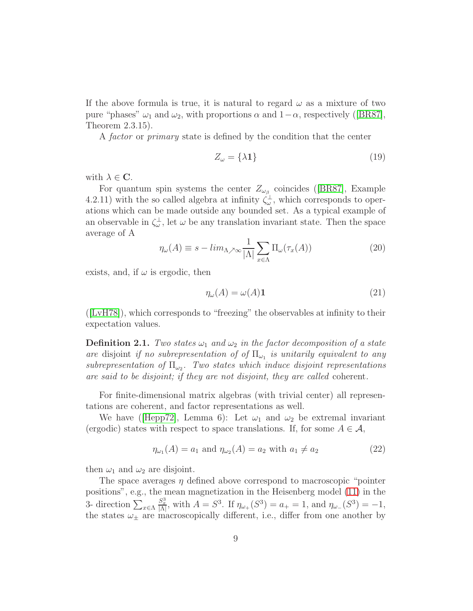If the above formula is true, it is natural to regard  $\omega$  as a mixture of two pure "phases"  $\omega_1$  and  $\omega_2$ , with proportions  $\alpha$  and  $1-\alpha$ , respectively ([\[BR87\]](#page-31-0), Theorem 2.3.15).

A factor or primary state is defined by the condition that the center

$$
Z_{\omega} = \{\lambda \mathbf{1}\}\tag{19}
$$

with  $\lambda \in \mathbf{C}$ .

For quantum spin systems the center  $Z_{\omega_{\beta}}$  coincides ([\[BR87\]](#page-31-0), Example 4.2.11) with the so called algebra at infinity  $\zeta_{\omega}^{\perp}$ , which corresponds to operations which can be made outside any bounded set. As a typical example of an observable in  $\zeta_{\omega}^{\perp}$ , let  $\omega$  be any translation invariant state. Then the space average of A

$$
\eta_{\omega}(A) \equiv s - \lim_{\Lambda \nearrow \infty} \frac{1}{|\Lambda|} \sum_{x \in \Lambda} \Pi_{\omega}(\tau_x(A)) \tag{20}
$$

exists, and, if  $\omega$  is ergodic, then

$$
\eta_{\omega}(A) = \omega(A)\mathbf{1} \tag{21}
$$

([\[LvH78\]](#page-31-1)), which corresponds to "freezing" the observables at infinity to their expectation values.

<span id="page-8-0"></span>**Definition 2.1.** Two states  $\omega_1$  and  $\omega_2$  in the factor decomposition of a state are disjoint if no subrepresentation of of  $\Pi_{\omega_1}$  is unitarily equivalent to any subrepresentation of  $\Pi_{\omega_2}$ . Two states which induce disjoint representations are said to be disjoint; if they are not disjoint, they are called coherent.

For finite-dimensional matrix algebras (with trivial center) all representations are coherent, and factor representations as well.

We have (Hepp72, Lemma 6): Let  $\omega_1$  and  $\omega_2$  be extremal invariant (ergodic) states with respect to space translations. If, for some  $A \in \mathcal{A}$ ,

$$
\eta_{\omega_1}(A) = a_1 \text{ and } \eta_{\omega_2}(A) = a_2 \text{ with } a_1 \neq a_2 \tag{22}
$$

then  $\omega_1$  and  $\omega_2$  are disjoint.

The space averages  $\eta$  defined above correspond to macroscopic "pointer" positions", e.g., the mean magnetization in the Heisenberg model [\(11\)](#page-6-0) in the 3- direction  $\sum_{x \in \Lambda}$  $\frac{S_x^3}{|\Lambda|}$ , with  $A = S^3$ . If  $\eta_{\omega_+}(S^3) = a_+ = 1$ , and  $\eta_{\omega_-}(S^3) = -1$ , the states  $\omega_{\pm}$  are macroscopically different, i.e., differ from one another by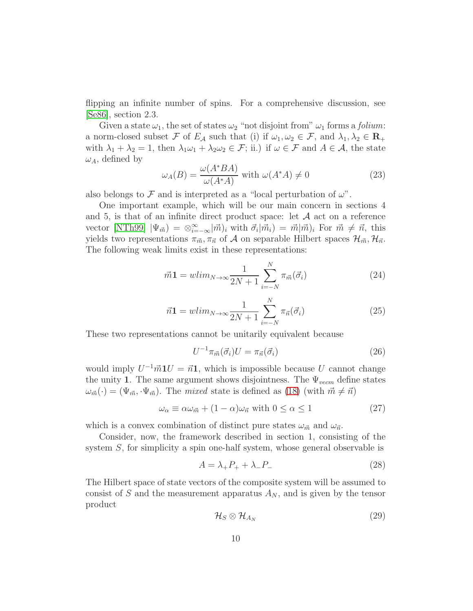flipping an infinite number of spins. For a comprehensive discussion, see [\[Se86\]](#page-30-6), section 2.3.

Given a state  $\omega_1$ , the set of states  $\omega_2$  "not disjoint from"  $\omega_1$  forms a *folium*: a norm-closed subset F of  $E_A$  such that (i) if  $\omega_1, \omega_2 \in \mathcal{F}$ , and  $\lambda_1, \lambda_2 \in \mathbb{R}_+$ with  $\lambda_1 + \lambda_2 = 1$ , then  $\lambda_1 \omega_1 + \lambda_2 \omega_2 \in \mathcal{F}$ ; ii.) if  $\omega \in \mathcal{F}$  and  $A \in \mathcal{A}$ , the state  $\omega_A$ , defined by

<span id="page-9-1"></span>
$$
\omega_A(B) = \frac{\omega(A^*BA)}{\omega(A^*A)} \text{ with } \omega(A^*A) \neq 0 \tag{23}
$$

also belongs to F and is interpreted as a "local perturbation of  $\omega$ ".

One important example, which will be our main concern in sections 4 and 5, is that of an infinite direct product space: let  $A$  act on a reference vector [\[NTh99\]](#page-29-2)  $|\Psi_{\vec{m}}\rangle = \otimes_{i=-\infty}^{\infty} |\vec{m}\rangle_i$  with  $\vec{\sigma}_i|\vec{m}_i\rangle = \vec{m}|\vec{m}\rangle_i$  For  $\vec{m} \neq \vec{n}$ , this yields two representations  $\pi_{\vec{m}}, \pi_{\vec{n}}$  of A on separable Hilbert spaces  $\mathcal{H}_{\vec{m}}, \mathcal{H}_{\vec{n}}$ . The following weak limits exist in these representations:

$$
\vec{m}\mathbf{1} = wlim_{N \to \infty} \frac{1}{2N+1} \sum_{i=-N}^{N} \pi_{\vec{m}}(\vec{\sigma}_i)
$$
(24)

$$
\vec{n} \mathbf{1} = w \lim_{N \to \infty} \frac{1}{2N+1} \sum_{i=-N}^{N} \pi_{\vec{n}}(\vec{\sigma}_i)
$$
\n(25)

These two representations cannot be unitarily equivalent because

<span id="page-9-2"></span>
$$
U^{-1}\pi_{\vec{m}}(\vec{\sigma}_i)U = \pi_{\vec{n}}(\vec{\sigma}_i)
$$
\n(26)

would imply  $U^{-1} \vec{m} 1 U = \vec{n} 1$ , which is impossible because U cannot change the unity 1. The same argument shows disjointness. The  $\Psi_{vecm}$  define states  $\omega_{\vec{m}}(\cdot) = (\Psi_{\vec{m}}, \Psi_{\vec{m}})$ . The mixed state is defined as [\(18\)](#page-7-1) (with  $\vec{m} \neq \vec{n}$ )

$$
\omega_{\alpha} \equiv \alpha \omega_{\vec{m}} + (1 - \alpha)\omega_{\vec{n}} \text{ with } 0 \le \alpha \le 1 \tag{27}
$$

which is a convex combination of distinct pure states  $\omega_{\vec{m}}$  and  $\omega_{\vec{n}}$ .

Consider, now, the framework described in section 1, consisting of the system S, for simplicity a spin one-half system, whose general observable is

<span id="page-9-0"></span>
$$
A = \lambda_+ P_+ + \lambda_- P_- \tag{28}
$$

The Hilbert space of state vectors of the composite system will be assumed to consist of S and the measurement apparatus  $A_N$ , and is given by the tensor product

$$
\mathcal{H}_S \otimes \mathcal{H}_{A_N} \tag{29}
$$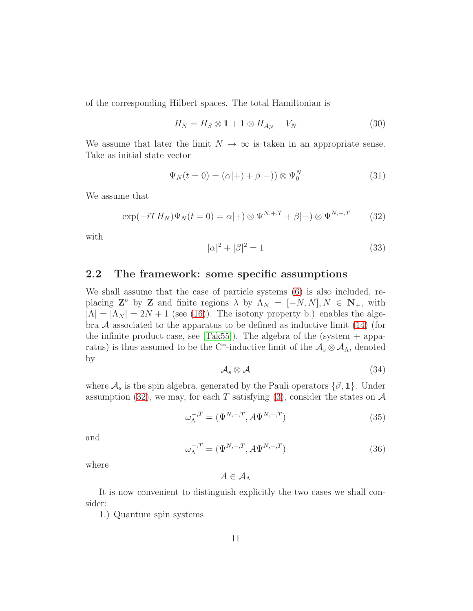of the corresponding Hilbert spaces. The total Hamiltonian is

<span id="page-10-4"></span>
$$
H_N = H_S \otimes \mathbf{1} + \mathbf{1} \otimes H_{A_N} + V_N \tag{30}
$$

We assume that later the limit  $N \to \infty$  is taken in an appropriate sense. Take as initial state vector

<span id="page-10-3"></span>
$$
\Psi_N(t=0) = (\alpha|+) + \beta|-)) \otimes \Psi_0^N \tag{31}
$$

We assume that

<span id="page-10-0"></span>
$$
\exp(-iTH_N)\Psi_N(t=0) = \alpha|+\rangle \otimes \Psi^{N,+,T} + \beta|-\rangle \otimes \Psi^{N,-,T} \qquad (32)
$$

with

<span id="page-10-1"></span>
$$
|\alpha|^2 + |\beta|^2 = 1 \tag{33}
$$

### 2.2 The framework: some specific assumptions

We shall assume that the case of particle systems [\(6\)](#page-3-1) is also included, replacing  $\mathbf{Z}^{\nu}$  by  $\mathbf{Z}$  and finite regions  $\lambda$  by  $\Lambda_N = [-N, N], N \in \mathbf{N}_+$ , with  $|\Lambda| = |\Lambda_N| = 2N + 1$  (see [\(16\)](#page-7-2)). The isotony property b.) enables the algebra  $A$  associated to the apparatus to be defined as inductive limit [\(14\)](#page-7-3) (for the infinite product case, see  $[Tak55]$ ). The algebra of the (system  $+$  apparatus) is thus assumed to be the C<sup>\*</sup>-inductive limit of the  $A_s \otimes A_\Lambda$ , denoted by

<span id="page-10-2"></span>
$$
A_s \otimes A \tag{34}
$$

where  $\mathcal{A}_s$  is the spin algebra, generated by the Pauli operators  $\{\vec{\sigma}, 1\}$ . Under assumption [\(32\)](#page-10-0), we may, for each T satisfying [\(3\)](#page-2-2), consider the states on  $\mathcal A$ 

<span id="page-10-5"></span>
$$
\omega_{\Lambda}^{+,T} = (\Psi^{N,+,T}, A\Psi^{N,+,T})
$$
\n(35)

and

<span id="page-10-6"></span>
$$
\omega_{\Lambda}^{-,T} = (\Psi^{N,-,T}, A\Psi^{N,-,T})
$$
\n(36)

where

 $A \in \mathcal{A}_{\Lambda}$ 

It is now convenient to distinguish explicitly the two cases we shall consider:

1.) Quantum spin systems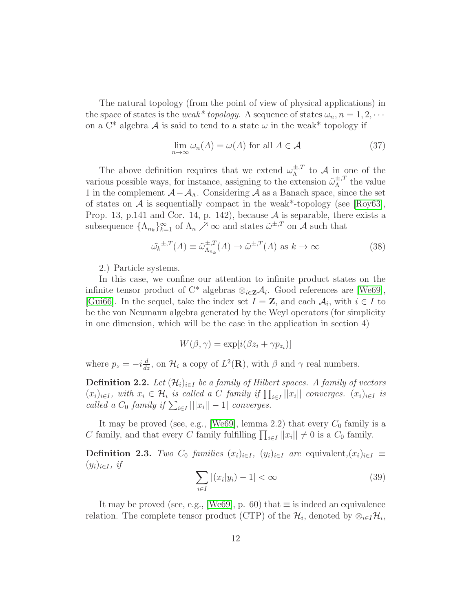The natural topology (from the point of view of physical applications) in the space of states is the weak\* topology. A sequence of states  $\omega_n$ ,  $n = 1, 2, \cdots$ on a  $C^*$  algebra A is said to tend to a state  $\omega$  in the weak\* topology if

<span id="page-11-1"></span>
$$
\lim_{n \to \infty} \omega_n(A) = \omega(A) \text{ for all } A \in \mathcal{A}
$$
 (37)

The above definition requires that we extend  $\omega_{\Lambda}^{\pm, T}$  $\Lambda^{\pm, I}$  to A in one of the various possible ways, for instance, assigning to the extension  $\tilde{\omega}_{\Lambda}^{\pm, T}$  $\lambda^{\pm,1}$  the value 1 in the complement  $\mathcal{A} - \mathcal{A}_{\Lambda}$ . Considering  $\mathcal{A}$  as a Banach space, since the set of states on  $A$  is sequentially compact in the weak\*-topology (see [\[Roy63\]](#page-31-3), Prop. 13, p.141 and Cor. 14, p. 142), because  $A$  is separable, there exists a subsequence  $\{\Lambda_{n_k}\}_{k=1}^{\infty}$  of  $\Lambda_n \nearrow \infty$  and states  $\tilde{\omega}^{\pm,T}$  on A such that

<span id="page-11-0"></span>
$$
\tilde{\omega_k}^{\pm,T}(A) \equiv \tilde{\omega}_{\Lambda_{n_k}}^{\pm,T}(A) \to \tilde{\omega}^{\pm,T}(A) \text{ as } k \to \infty \tag{38}
$$

2.) Particle systems.

In this case, we confine our attention to infinite product states on the infinite tensor product of C<sup>\*</sup> algebras  $\otimes_{i\in\mathbf{Z}}\mathcal{A}_i$ . Good references are [\[We69\]](#page-31-4), [\[Gui66\]](#page-31-5). In the sequel, take the index set  $I = \mathbf{Z}$ , and each  $A_i$ , with  $i \in I$  to be the von Neumann algebra generated by the Weyl operators (for simplicity in one dimension, which will be the case in the application in section 4)

$$
W(\beta, \gamma) = \exp[i(\beta z_i + \gamma p_{z_i})]
$$

where  $p_z = -i\frac{d}{dz}$ , on  $\mathcal{H}_i$  a copy of  $L^2(\mathbf{R})$ , with  $\beta$  and  $\gamma$  real numbers.

**Definition 2.2.** Let  $(\mathcal{H}_i)_{i\in I}$  be a family of Hilbert spaces. A family of vectors  $(x_i)_{i\in I}$ , with  $x_i \in \mathcal{H}_i$  is called a C family if  $\prod_{i\in I} ||x_i||$  converges.  $(x_i)_{i\in I}$  is called a  $C_0$  family if  $\sum_{i \in I} |||x_i|| - 1|$  converges.

It may be proved (see, e.g., [\[We69\]](#page-31-4), lemma 2.2) that every  $C_0$  family is a C family, and that every C family fulfilling  $\prod_{i \in I} ||x_i|| \neq 0$  is a  $C_0$  family.

<span id="page-11-2"></span>**Definition 2.3.** Two  $C_0$  families  $(x_i)_{i\in I}$ ,  $(y_i)_{i\in I}$  are equivalent,  $(x_i)_{i\in I} \equiv$  $(y_i)_{i\in I}$ , if

$$
\sum_{i \in I} |(x_i|y_i) - 1| < \infty \tag{39}
$$

It may be proved (see, e.g., [\[We69\]](#page-31-4), p. 60) that  $\equiv$  is indeed an equivalence relation. The complete tensor product (CTP) of the  $\mathcal{H}_i$ , denoted by  $\otimes_{i \in I} \mathcal{H}_i$ ,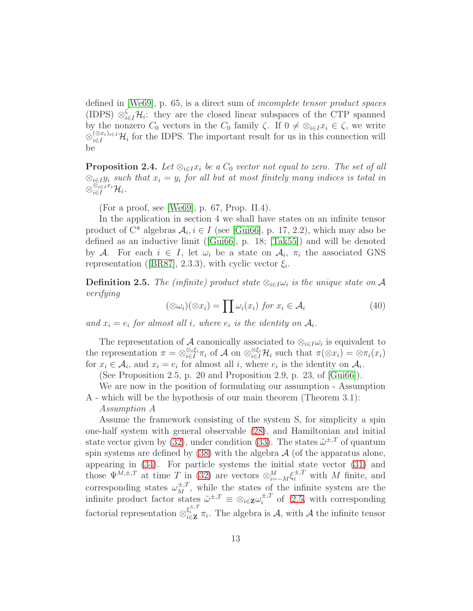defined in [\[We69\]](#page-31-4), p. 65, is a direct sum of incomplete tensor product spaces (IDPS)  $\otimes_{i\in I}^{\zeta} \mathcal{H}_i$ : they are the closed linear subspaces of the CTP spanned by the nonzero  $C_0$  vectors in the  $C_0$  family  $\zeta$ . If  $0 \neq \otimes_{i \in I} x_i \in \zeta$ , we write  $\otimes_{i\in I}^{(\otimes x_i)_{i\in I}}\mathcal{H}_i$  for the IDPS. The important result for us in this connection will be

<span id="page-12-1"></span>**Proposition 2.4.** Let  $\otimes_{i \in I} x_i$  be a  $C_0$  vector not equal to zero. The set of all  $\otimes_{i\in I} y_i$  such that  $x_i = y_i$  for all but at most finitely many indices is total in  $\otimes_{i\in I}^{\bar{\otimes}_{i\in I} x_i}{\cal H}_i.$ 

(For a proof, see [\[We69\]](#page-31-4), p. 67, Prop. II.4).

In the application in section 4 we shall have states on an infinite tensor product of  $C^*$  algebras  $A_i, i \in I$  (see [\[Gui66\]](#page-31-5), p. 17, 2.2), which may also be defined as an inductive limit ([\[Gui66\]](#page-31-5), p. 18; [\[Tak55\]](#page-31-2)) and will be denoted by A. For each  $i \in I$ , let  $\omega_i$  be a state on  $\mathcal{A}_i$ ,  $\pi_i$  the associated GNS representation ([\[BR87\]](#page-31-0), 2.3.3), with cyclic vector  $\xi_i$ .

<span id="page-12-0"></span>**Definition 2.5.** The (infinite) product state  $\otimes_{i \in I} \omega_i$  is the unique state on A verifying

$$
(\otimes \omega_i)(\otimes x_i) = \prod \omega_i(x_i) \text{ for } x_i \in \mathcal{A}_i
$$
 (40)

and  $x_i = e_i$  for almost all i, where  $e_i$  is the identity on  $A_i$ .

The representation of A canonically associated to  $\otimes_{i\in I}\omega_i$  is equivalent to the representation  $\pi = \otimes_{i \in I}^{\otimes_i \xi_i} \pi_i$  of A on  $\otimes_{i \in I}^{\otimes \xi_i} \mathcal{H}_i$  such that  $\pi(\otimes x_i) = \otimes \pi_i(x_i)$ for  $x_i \in \mathcal{A}_i$ , and  $x_i = e_i$  for almost all i, where  $e_i$  is the identity on  $\mathcal{A}_i$ .

(See Proposition 2.5, p. 20 and Proposition 2.9, p. 23, of [\[Gui66\]](#page-31-5)).

We are now in the position of formulating our assumption - Assumption A - which will be the hypothesis of our main theorem (Theorem 3.1):

#### Assumption A

Assume the framework consisting of the system S, for simplicity a spin one-half system with general observable [\(28\)](#page-9-0), and Hamiltonian and initial state vector given by [\(32\)](#page-10-0), under condition [\(33\)](#page-10-1). The states  $\tilde{\omega}^{\pm,T}$  of quantum spin systems are defined by  $(38)$  with the algebra  $\mathcal A$  (of the apparatus alone, appearing in [\(34\)](#page-10-2). For particle systems the initial state vector [\(31\)](#page-10-3) and those  $\Psi^{M,\pm,T}$  at time T in [\(32\)](#page-10-0) are vectors  $\otimes_{i=-M}^{M} \xi_i^{\pm,T}$  with M finite, and corresponding states  $\omega_M^{\pm,T}$ , while the states of the infinite system are the infinite product factor states  $\tilde{\omega}^{\pm,T} \equiv \otimes_{i \in \mathbf{Z}} \omega_i^{\pm,T}$  $\int_{i}^{\pm,1}$  of [2.5,](#page-12-0) with corresponding factorial representation  $\otimes_{i\in\mathbf{Z}}^{\xi_i^{\pm,T}} \pi_i$ . The algebra is A, with A the infinite tensor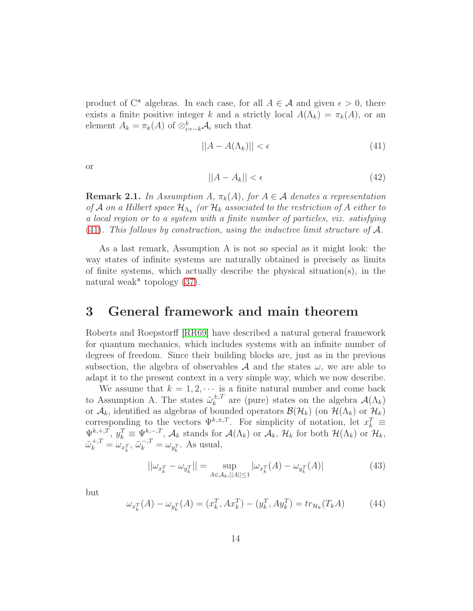product of C<sup>\*</sup> algebras. In each case, for all  $A \in \mathcal{A}$  and given  $\epsilon > 0$ , there exists a finite positive integer k and a strictly local  $A(\Lambda_k) = \pi_k(A)$ , or an element  $A_k = \pi_k(A)$  of  $\otimes_{i=-k}^k A_i$  such that

<span id="page-13-0"></span>
$$
||A - A(\Lambda_k)|| < \epsilon \tag{41}
$$

or

$$
||A - A_k|| < \epsilon \tag{42}
$$

**Remark 2.1.** In Assumption A,  $\pi_k(A)$ , for  $A \in \mathcal{A}$  denotes a representation of A on a Hilbert space  $\mathcal{H}_{\Lambda_k}$  (or  $\mathcal{H}_k$  associated to the restriction of A either to a local region or to a system with a finite number of particles, viz. satisfying [\(41\)](#page-13-0). This follows by construction, using the inductive limit structure of  $\mathcal{A}$ .

As a last remark, Assumption A is not so special as it might look: the way states of infinite systems are naturally obtained is precisely as limits of finite systems, which actually describe the physical situation(s), in the natural weak\* topology [\(37\)](#page-11-1).

## 3 General framework and main theorem

Roberts and Roepstorff [\[RR69\]](#page-30-7) have described a natural general framework for quantum mechanics, which includes systems with an infinite number of degrees of freedom. Since their building blocks are, just as in the previous subsection, the algebra of observables  $A$  and the states  $\omega$ , we are able to adapt it to the present context in a very simple way, which we now describe.

We assume that  $k = 1, 2, \cdots$  is a finite natural number and come back to Assumption A. The states  $\tilde{\omega}_k^{\pm,T}$  $\chi_k^{\pm, T}$  are (pure) states on the algebra  $\mathcal{A}(\Lambda_k)$ or  $\mathcal{A}_k$ , identified as algebras of bounded operators  $\mathcal{B}(\mathcal{H}_k)$  (on  $\mathcal{H}(\Lambda_k)$ ) or  $\mathcal{H}_k$ ) corresponding to the vectors  $\Psi^{k,\pm,T}$ . For simplicity of notation, let  $x_k^T \equiv$  $\Psi_{k+1}^{k+T}$ ,  $y_k^T \equiv \Psi_{k-1}^{k-T}$ ,  $\mathcal{A}_k$  stands for  $\mathcal{A}(\Lambda_k)$  or  $\mathcal{A}_k$ ,  $\mathcal{H}_k$  for both  $\mathcal{H}(\Lambda_k)$  or  $\mathcal{H}_k$ ,  $\tilde{\omega}_k^{+,T} = \omega_{x_k^T}, \, \tilde{\omega}_k^{-,T} = \omega_{y_k^T}.$  As usual,

<span id="page-13-2"></span>
$$
||\omega_{x_k^T} - \omega_{y_k^T}|| = \sup_{A \in \mathcal{A}_k, ||A|| \le 1} |\omega_{x_k^T}(A) - \omega_{y_k^T}(A)|
$$
(43)

but

<span id="page-13-1"></span>
$$
\omega_{x_k^T}(A) - \omega_{y_k^T}(A) = (x_k^T, Ax_k^T) - (y_k^T, Ay_k^T) = tr_{\mathcal{H}_k}(T_k A)
$$
(44)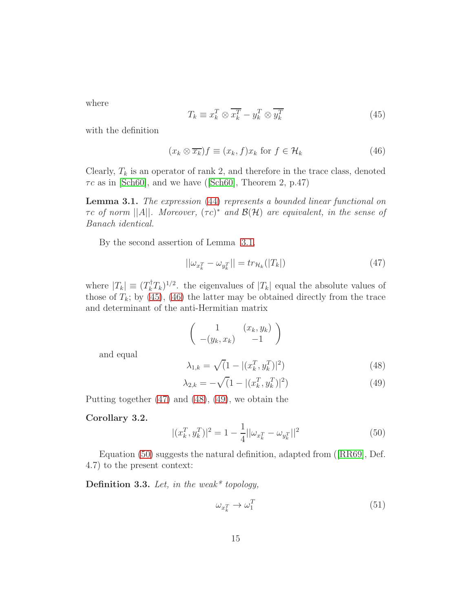where

<span id="page-14-1"></span>
$$
T_k \equiv x_k^T \otimes \overline{x_k^T} - y_k^T \otimes \overline{y_k^T}
$$
\n(45)

with the definition

<span id="page-14-2"></span>
$$
(x_k \otimes \overline{x_k})f \equiv (x_k, f)x_k \text{ for } f \in \mathcal{H}_k
$$
\n(46)

Clearly,  $T_k$  is an operator of rank 2, and therefore in the trace class, denoted  $\tau c$  as in [\[Sch60\]](#page-31-6), and we have ([\[Sch60\]](#page-31-6), Theorem 2, p.47)

<span id="page-14-0"></span>Lemma 3.1. The expression [\(44\)](#page-13-1) represents a bounded linear functional on  $\tau c$  of norm  $||A||$ . Moreover,  $(\tau c)^*$  and  $\mathcal{B}(\mathcal{H})$  are equivalent, in the sense of Banach identical.

By the second assertion of Lemma [3.1,](#page-14-0)

<span id="page-14-3"></span>
$$
||\omega_{x_k^T} - \omega_{y_k^T}|| = tr_{\mathcal{H}_k}(|T_k|)
$$
\n(47)

where  $|T_k| \equiv (T_k^{\dagger} T_k)^{1/2}$ . the eigenvalues of  $|T_k|$  equal the absolute values of those of  $T_k$ ; by [\(45\)](#page-14-1), [\(46\)](#page-14-2) the latter may be obtained directly from the trace and determinant of the anti-Hermitian matrix

$$
\left(\begin{array}{cc} 1 & (x_k, y_k) \\ -(y_k, x_k) & -1 \end{array}\right)
$$

and equal

<span id="page-14-4"></span>
$$
\lambda_{1,k} = \sqrt{(1 - |(x_k^T, y_k^T)|^2)}
$$
\n(48)

<span id="page-14-5"></span>
$$
\lambda_{2,k} = -\sqrt{(1 - |(x_k^T, y_k^T)|^2)}
$$
\n(49)

Putting together [\(47\)](#page-14-3) and [\(48\)](#page-14-4), [\(49\)](#page-14-5), we obtain the

#### Corollary 3.2.

<span id="page-14-6"></span>
$$
|(x_k^T, y_k^T)|^2 = 1 - \frac{1}{4} ||\omega_{x_k^T} - \omega_{y_k^T}||^2
$$
\n(50)

Equation [\(50\)](#page-14-6) suggests the natural definition, adapted from ([\[RR69\]](#page-30-7), Def. 4.7) to the present context:

<span id="page-14-7"></span>Definition 3.3. Let, in the weak\* topology,

<span id="page-14-8"></span>
$$
\omega_{x_k^T} \to \omega_1^T \tag{51}
$$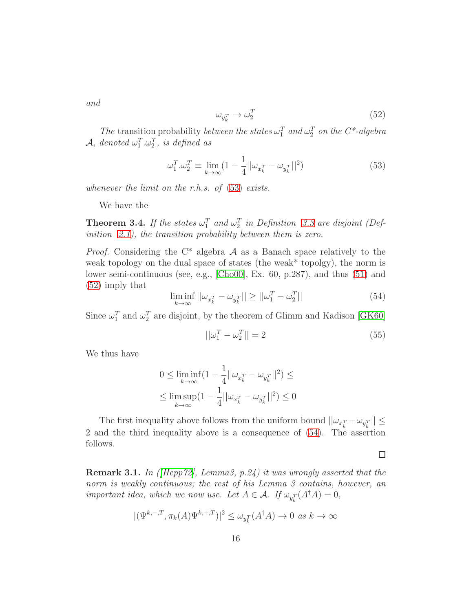and

<span id="page-15-1"></span>
$$
\omega_{y_k^T} \to \omega_2^T \tag{52}
$$

The transition probability between the states  $\omega_1^T$  and  $\omega_2^T$  on the C<sup>\*</sup>-algebra  $\mathcal{A}, \text{ denoted } \omega_1^T \!\ldots \!\omega_2^T, \text{ is defined as}$ 

<span id="page-15-0"></span>
$$
\omega_1^T \cdot \omega_2^T \equiv \lim_{k \to \infty} \left( 1 - \frac{1}{4} ||\omega_{x_k^T} - \omega_{y_k^T}||^2 \right) \tag{53}
$$

whenever the limit on the r.h.s. of  $(53)$  exists.

We have the

<span id="page-15-3"></span>**Theorem 3.4.** If the states  $\omega_1^T$  and  $\omega_2^T$  in Definition [3.3](#page-14-7) are disjoint (Def-inition [2.1\)](#page-8-0), the transition probability between them is zero.

*Proof.* Considering the  $C^*$  algebra  $\mathcal A$  as a Banach space relatively to the weak topology on the dual space of states (the weak\* topolgy), the norm is lower semi-continuous (see, e.g., [\[Cho00\]](#page-31-7), Ex. 60, p.287), and thus [\(51\)](#page-14-8) and [\(52\)](#page-15-1) imply that

<span id="page-15-2"></span>
$$
\liminf_{k \to \infty} ||\omega_{x_k^T} - \omega_{y_k^T}|| \ge ||\omega_1^T - \omega_2^T|| \tag{54}
$$

Since  $\omega_1^T$  and  $\omega_2^T$  are disjoint, by the theorem of Glimm and Kadison [\[GK60\]](#page-31-8)

$$
||\omega_1^T - \omega_2^T|| = 2\tag{55}
$$

We thus have

$$
\begin{aligned}0\leq \liminf_{k\rightarrow \infty}(1-\frac{1}{4}||\omega_{x_k^T}-\omega_{y_k^T}||^2)\leq\\ \leq \limsup_{k\rightarrow \infty}(1-\frac{1}{4}||\omega_{x_k^T}-\omega_{y_k^T}||^2)\leq 0\end{aligned}
$$

The first inequality above follows from the uniform bound  $||\omega_{x_k^T} - \omega_{y_k^T}|| \le$ 2 and the third inequality above is a consequence of [\(54\)](#page-15-2). The assertion follows.

**Remark 3.1.** In (*[\[Hepp72\]](#page-28-1)*, Lemma<sub>3</sub>, p.24) it was wrongly asserted that the norm is weakly continuous; the rest of his Lemma 3 contains, however, an important idea, which we now use. Let  $A \in \mathcal{A}$ . If  $\omega_{y_k^T}(A^{\dagger}A) = 0$ ,

$$
|(\Psi^{k,-,T}, \pi_k(A)\Psi^{k,+,T})|^2 \le \omega_{y_k^T}(A^\dagger A) \to 0 \text{ as } k \to \infty
$$

 $\Box$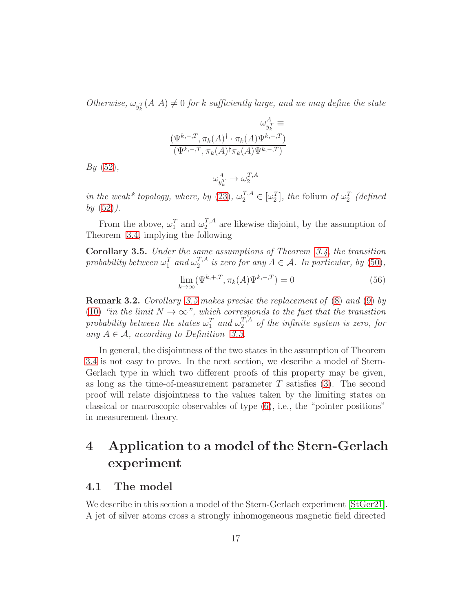Otherwise,  $\omega_{y_k^T}(A^{\dagger}A) \neq 0$  for k sufficiently large, and we may define the state

$$
\omega_{y_k^T}^A \equiv
$$
  

$$
\frac{(\Psi^{k,-,T}, \pi_k(A)^{\dagger} \cdot \pi_k(A) \Psi^{k,-,T})}{(\Psi^{k,-,T}, \pi_k(A)^{\dagger} \pi_k(A) \Psi^{k,-,T})}
$$

 $By (52),$  $By (52),$  $By (52),$ 

$$
\omega_{y_k^T}^A \to \omega_2^{T,A}
$$

in the weak\* topology, where, by [\(23\)](#page-9-1),  $\omega_2^{T,A} \in [\omega_2^T]$ , the folium of  $\omega_2^T$  (defined  $by (52)$  $by (52)$ .

From the above,  $\omega_1^T$  and  $\omega_2^{T,A}$  $n_2^{\prime}$ <sup>1,4</sup> are likewise disjoint, by the assumption of Theorem [3.4,](#page-15-3) implying the following

<span id="page-16-0"></span>Corollary 3.5. Under the same assumptions of Theorem [3.4,](#page-15-3) the transition probability between  $\omega_1^T$  and  $\omega_2^{T,A}$  $i_2^{T,A}$  is zero for any  $A \in \mathcal{A}$ . In particular, by [\(50\)](#page-14-6),

$$
\lim_{k \to \infty} (\Psi^{k,+,T}, \pi_k(A)\Psi^{k,-,T}) = 0
$$
\n(56)

Remark 3.2. Corollary [3.5](#page-16-0) makes precise the replacement of [\(8\)](#page-3-3) and [\(9\)](#page-3-2) by [\(10\)](#page-4-0) "in the limit  $N \to \infty$ ", which corresponds to the fact that the transition probability between the states  $\omega_1^T$  and  $\omega_2^{T,A}$  of the infinite system is zero, for any  $A \in \mathcal{A}$ , according to Definition [3.3.](#page-14-7)

In general, the disjointness of the two states in the assumption of Theorem [3.4](#page-15-3) is not easy to prove. In the next section, we describe a model of Stern-Gerlach type in which two different proofs of this property may be given, as long as the time-of-measurement parameter  $T$  satisfies [\(3\)](#page-2-2). The second proof will relate disjointness to the values taken by the limiting states on classical or macroscopic observables of type [\(6\)](#page-3-1), i.e., the "pointer positions" in measurement theory.

# 4 Application to a model of the Stern-Gerlach experiment

### 4.1 The model

We describe in this section a model of the Stern-Gerlach experiment [\[StGer21\]](#page-28-3). A jet of silver atoms cross a strongly inhomogeneous magnetic field directed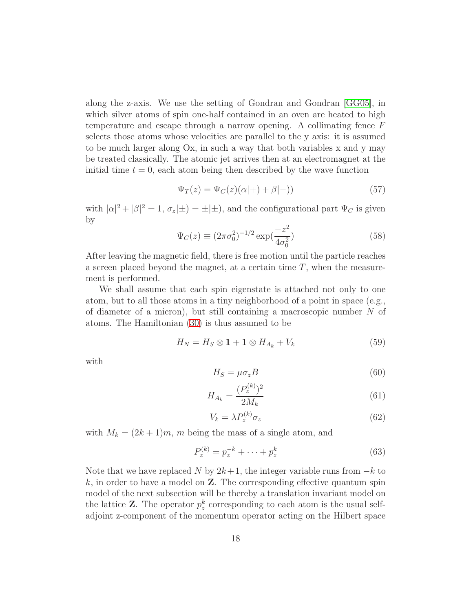along the z-axis. We use the setting of Gondran and Gondran [\[GG05\]](#page-29-12), in which silver atoms of spin one-half contained in an oven are heated to high temperature and escape through a narrow opening. A collimating fence F selects those atoms whose velocities are parallel to the y axis: it is assumed to be much larger along Ox, in such a way that both variables x and y may be treated classically. The atomic jet arrives then at an electromagnet at the initial time  $t = 0$ , each atom being then described by the wave function

<span id="page-17-6"></span>
$$
\Psi_T(z) = \Psi_C(z)(\alpha|+) + \beta|-)
$$
\n(57)

with  $|\alpha|^2 + |\beta|^2 = 1$ ,  $\sigma_z(\pm) = \pm(\pm)$ , and the configurational part  $\Psi_C$  is given by

<span id="page-17-5"></span>
$$
\Psi_C(z) \equiv (2\pi\sigma_0^2)^{-1/2} \exp(\frac{-z^2}{4\sigma_0^2})
$$
\n(58)

After leaving the magnetic field, there is free motion until the particle reaches a screen placed beyond the magnet, at a certain time  $T$ , when the measurement is performed.

We shall assume that each spin eigenstate is attached not only to one atom, but to all those atoms in a tiny neighborhood of a point in space (e.g., of diameter of a micron), but still containing a macroscopic number N of atoms. The Hamiltonian [\(30\)](#page-10-4) is thus assumed to be

<span id="page-17-1"></span>
$$
H_N = H_S \otimes \mathbf{1} + \mathbf{1} \otimes H_{A_k} + V_k \tag{59}
$$

with

<span id="page-17-3"></span>
$$
H_S = \mu \sigma_z B \tag{60}
$$

<span id="page-17-4"></span>
$$
H_{A_k} = \frac{(P_z^{(k)})^2}{2M_k} \tag{61}
$$

<span id="page-17-0"></span>
$$
V_k = \lambda P_z^{(k)} \sigma_z \tag{62}
$$

with  $M_k = (2k + 1)m$ , m being the mass of a single atom, and

<span id="page-17-2"></span>
$$
P_z^{(k)} = p_z^{-k} + \dots + p_z^{k}
$$
 (63)

Note that we have replaced N by  $2k+1$ , the integer variable runs from  $-k$  to  $k$ , in order to have a model on  $\mathbf{Z}$ . The corresponding effective quantum spin model of the next subsection will be thereby a translation invariant model on the lattice **Z**. The operator  $p_z^k$  corresponding to each atom is the usual selfadjoint z-component of the momentum operator acting on the Hilbert space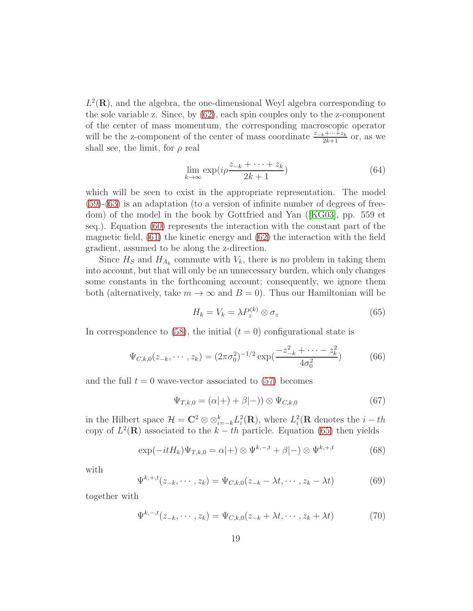$L^2(\mathbf{R})$ , and the algebra, the one-dimensional Weyl algebra corresponding to the sole variable z. Since, by [\(62\)](#page-17-0), each spin couples only to the z-component of the center of mass momentum, the corresponding macroscopic operator will be the z-component of the center of mass coordinate  $\frac{z_{-k} + \cdots + z_k}{2k+1}$  or, as we shall see, the limit, for  $\rho$  real

$$
\lim_{k \to \infty} \exp(i\rho \frac{z_{-k} + \dots + z_k}{2k + 1}) \tag{64}
$$

which will be seen to exist in the appropriate representation. The model [\(59\)](#page-17-1)-[\(63\)](#page-17-2) is an adaptation (to a version of infinite number of degrees of freedom) of the model in the book by Gottfried and Yan ([\[KG03\]](#page-29-11), pp. 559 et seq.). Equation [\(60\)](#page-17-3) represents the interaction with the constant part of the magnetic field, [\(61\)](#page-17-4) the kinetic energy and [\(62\)](#page-17-0) the interaction with the field gradient, assumed to be along the z-direction.

Since  $H_S$  and  $H_{A_k}$  commute with  $V_k$ , there is no problem in taking them into account, but that will only be an unnecessary burden, which only changes some constants in the forthcoming account; consequently, we ignore them both (alternatively, take  $m \to \infty$  and  $B = 0$ ). Thus our Hamiltonian will be

<span id="page-18-0"></span>
$$
H_k = V_k = \lambda P_z^{(k)} \otimes \sigma_z \tag{65}
$$

In correspondence to [\(58\)](#page-17-5), the initial  $(t = 0)$  configurational state is

$$
\Psi_{C,k,0}(z_{-k},\cdots,z_k) = (2\pi\sigma_0^2)^{-1/2} \exp(\frac{-z_{-k}^2 + \cdots - z_k^2}{4\sigma_0^2})
$$
(66)

and the full  $t = 0$  wave-vector associated to [\(57\)](#page-17-6) becomes

$$
\Psi_{T,k,0} = (\alpha|+) + \beta|-)) \otimes \Psi_{C,k,0}
$$
\n(67)

in the Hilbert space  $\mathcal{H} = \mathbb{C}^2 \otimes \otimes_{i=-k}^k L_i^2(\mathbf{R})$ , where  $L_i^2(\mathbf{R})$  denotes the  $i-th$ copy of  $L^2(\mathbf{R})$  associated to the  $k-th$  particle. Equation [\(65\)](#page-18-0) then yields

<span id="page-18-1"></span>
$$
\exp(-itH_k)\Psi_{T,k,0} = \alpha|+\rangle \otimes \Psi^{k,-,t} + \beta|-\rangle \otimes \Psi^{k,+,t} \tag{68}
$$

with

<span id="page-18-2"></span>
$$
\Psi^{k,+,t}(z_{-k},\cdots,z_k)=\Psi_{C,k,0}(z_{-k}-\lambda t,\cdots,z_k-\lambda t)
$$
\n(69)

together with

<span id="page-18-3"></span>
$$
\Psi^{k,-,t}(z_{-k},\cdots,z_k)=\Psi_{C,k,0}(z_{-k}+\lambda t,\cdots,z_k+\lambda t)
$$
\n(70)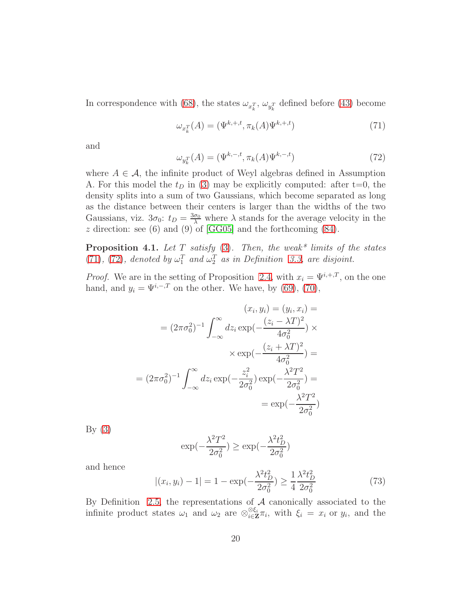In correspondence with [\(68\)](#page-18-1), the states  $\omega_{x_k^T}$ ,  $\omega_{y_k^T}$  defined before [\(43\)](#page-13-2) become

<span id="page-19-0"></span>
$$
\omega_{x_k^T}(A) = (\Psi^{k,+,t}, \pi_k(A)\Psi^{k,+,t})
$$
\n(71)

and

<span id="page-19-1"></span>
$$
\omega_{y_k^T}(A) = (\Psi^{k,-,t}, \pi_k(A)\Psi^{k,-,t})
$$
\n(72)

where  $A \in \mathcal{A}$ , the infinite product of Weyl algebras defined in Assumption A. For this model the  $t_D$  in [\(3\)](#page-2-2) may be explicitly computed: after t=0, the density splits into a sum of two Gaussians, which become separated as long as the distance between their centers is larger than the widths of the two Gaussians, viz.  $3\sigma_0$ :  $t_D = \frac{3\sigma_0}{\lambda}$  where  $\lambda$  stands for the average velocity in the z direction: see  $(6)$  and  $(9)$  of [\[GG05\]](#page-29-12) and the forthcoming  $(84)$ .

**Proposition 4.1.** Let T satisfy [\(3\)](#page-2-2). Then, the weak\* limits of the states [\(71\)](#page-19-0), [\(72\)](#page-19-1), denoted by  $\omega_1^T$  and  $\omega_2^T$  as in Definition [3.3,](#page-14-7) are disjoint.

*Proof.* We are in the setting of Proposition [2.4,](#page-12-1) with  $x_i = \Psi^{i,+,T}$ , on the one hand, and  $y_i = \Psi^{i,-,T}$  on the other. We have, by [\(69\)](#page-18-2), [\(70\)](#page-18-3),

$$
(x_i, y_i) = (y_i, x_i) =
$$

$$
= (2\pi\sigma_0^2)^{-1} \int_{-\infty}^{\infty} dz_i \exp(-\frac{(z_i - \lambda T)^2}{4\sigma_0^2}) \times
$$

$$
\times \exp(-\frac{(z_i + \lambda T)^2}{4\sigma_0^2}) =
$$

$$
= (2\pi\sigma_0^2)^{-1} \int_{-\infty}^{\infty} dz_i \exp(-\frac{z_i^2}{2\sigma_0^2}) \exp(-\frac{\lambda^2 T^2}{2\sigma_0^2}) =
$$

$$
= \exp(-\frac{\lambda^2 T^2}{2\sigma_0^2})
$$

By  $(3)$ 

$$
\exp(-\frac{\lambda^2 T^2}{2\sigma_0^2}) \geq \exp(-\frac{\lambda^2 t_D^2}{2\sigma_0^2})
$$

and hence

<span id="page-19-2"></span>
$$
|(x_i, y_i) - 1| = 1 - \exp(-\frac{\lambda^2 t_D^2}{2\sigma_0^2}) \ge \frac{1}{4} \frac{\lambda^2 t_D^2}{2\sigma_0^2}
$$
 (73)

By Definition [2.5,](#page-12-0) the representations of  $A$  canonically associated to the infinite product states  $\omega_1$  and  $\omega_2$  are  $\otimes_{i\in \mathbf{Z}}^{\otimes \xi_i} \pi_i$ , with  $\xi_i = x_i$  or  $y_i$ , and the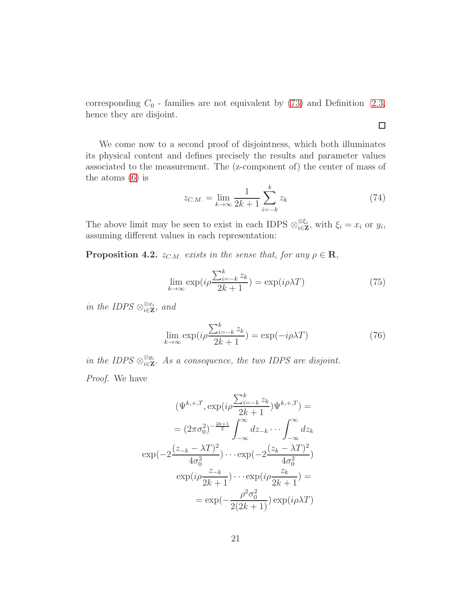corresponding  $C_0$  - families are not equivalent by [\(73\)](#page-19-2) and Definition [2.3,](#page-11-2) hence they are disjoint.

We come now to a second proof of disjointness, which both illuminates its physical content and defines precisely the results and parameter values associated to the measurement. The (z-component of) the center of mass of the atoms [\(6\)](#page-3-1) is

$$
z_{C.M.} = \lim_{k \to \infty} \frac{1}{2k+1} \sum_{i=-k}^{k} z_k
$$
 (74)

The above limit may be seen to exist in each IDPS  $\otimes_{i\in\mathbf{Z}}^{\otimes \xi_i}$ , with  $\xi_i = x_i$  or  $y_i$ , assuming different values in each representation:

**Proposition 4.2.**  $z_{C.M.}$  exists in the sense that, for any  $\rho \in \mathbf{R}$ ,

<span id="page-20-0"></span>
$$
\lim_{k \to \infty} \exp(i\rho \frac{\sum_{i=-k}^{k} z_k}{2k+1}) = \exp(i\rho \lambda T) \tag{75}
$$

in the IDPS  $\otimes_{i\in\mathbf{Z}}^{\otimes x_i}$ , and

<span id="page-20-1"></span>
$$
\lim_{k \to \infty} \exp(i\rho \frac{\sum_{i=-k}^{k} z_k}{2k+1}) = \exp(-i\rho \lambda T) \tag{76}
$$

in the IDPS  $\otimes_{i\in \mathbf{Z}}^{\otimes y_i}$ . As a consequence, the two IDPS are disjoint. Proof. We have

$$
(\Psi^{k,+,T}, \exp(i\rho \frac{\sum_{i=-k}^{k} z_k}{2k+1})\Psi^{k,+,T}) =
$$
  

$$
= (2\pi\sigma_0^2)^{-\frac{2k+1}{2}} \int_{-\infty}^{\infty} dz_{-k} \cdots \int_{-\infty}^{\infty} dz_k
$$
  

$$
\exp(-2\frac{(z_{-k}-\lambda T)^2}{4\sigma_0^2}) \cdots \exp(-2\frac{(z_k-\lambda T)^2}{4\sigma_0^2})
$$
  

$$
\exp(i\rho \frac{z_{-k}}{2k+1}) \cdots \exp(i\rho \frac{z_k}{2k+1}) =
$$
  

$$
= \exp(-\frac{\rho^2\sigma_0^2}{2(2k+1)})\exp(i\rho\lambda T)
$$

 $\Box$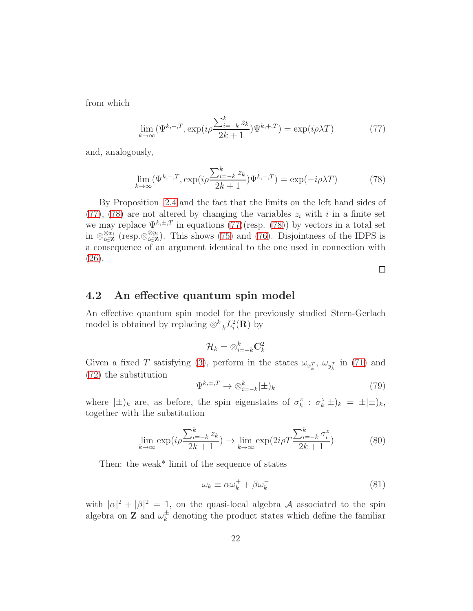from which

<span id="page-21-0"></span>
$$
\lim_{k \to \infty} (\Psi^{k,+,T}, \exp(i\rho \frac{\sum_{i=-k}^{k} z_k}{2k+1}) \Psi^{k,+,T}) = \exp(i\rho \lambda T) \tag{77}
$$

and, analogously,

<span id="page-21-1"></span>
$$
\lim_{k \to \infty} (\Psi^{k,-,T}, \exp(i\rho \frac{\sum_{i=-k}^{k} z_k}{2k+1}) \Psi^{k,-,T}) = \exp(-i\rho \lambda T)
$$
 (78)

By Proposition [2.4](#page-12-1) and the fact that the limits on the left hand sides of [\(77\)](#page-21-0), [\(78\)](#page-21-1) are not altered by changing the variables  $z_i$  with i in a finite set we may replace  $\Psi^{k,\pm,T}$  in equations [\(77\)](#page-21-0)(resp. [\(78\)](#page-21-1)) by vectors in a total set in  $\otimes_{i\in\mathbf{Z}}^{\otimes x_i}$  (resp. $\otimes_{i\in\mathbf{Z}}^{y_i}$ ). This shows [\(75\)](#page-20-0) and [\(76\)](#page-20-1). Disjointness of the IDPS is a consequence of an argument identical to the one used in connection with [\(26\)](#page-9-2).

 $\Box$ 

### 4.2 An effective quantum spin model

An effective quantum spin model for the previously studied Stern-Gerlach model is obtained by replacing  $\otimes_{-k}^k L_i^2(\mathbf{R})$  by

$$
\mathcal{H}_k = \otimes_{i=-k}^k \mathbf{C}_k^2
$$

Given a fixed T satisfying [\(3\)](#page-2-2), perform in the states  $\omega_{x_k^T}$ ,  $\omega_{y_k^T}$  in [\(71\)](#page-19-0) and [\(72\)](#page-19-1) the substitution

$$
\Psi^{k,\pm,T} \to \otimes_{i=-k}^k |\pm]_k \tag{79}
$$

where  $|\pm\rangle_k$  are, as before, the spin eigenstates of  $\sigma_k^z$ :  $\sigma_k^z|\pm\rangle_k = \pm |\pm\rangle_k$ , together with the substitution

<span id="page-21-2"></span>
$$
\lim_{k \to \infty} \exp(i\rho \frac{\sum_{i=-k}^{k} z_k}{2k+1}) \to \lim_{k \to \infty} \exp(2i\rho T \frac{\sum_{i=-k}^{k} \sigma_i^z}{2k+1})
$$
(80)

Then: the weak\* limit of the sequence of states

$$
\omega_k \equiv \alpha \omega_k^+ + \beta \omega_k^- \tag{81}
$$

with  $|\alpha|^2 + |\beta|^2 = 1$ , on the quasi-local algebra A associated to the spin algebra on **Z** and  $\omega_k^{\pm}$  $\frac{1}{k}$  denoting the product states which define the familiar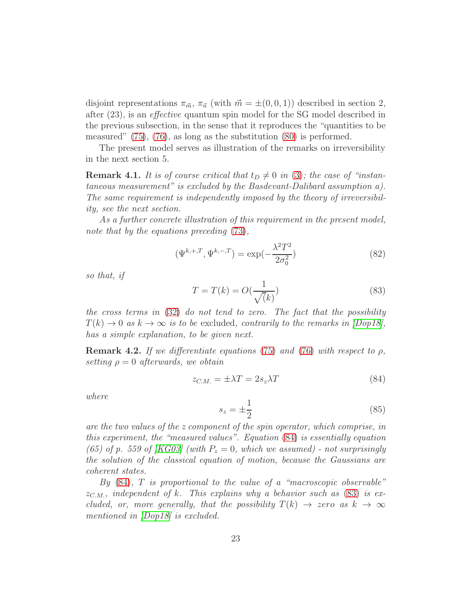disjoint representations  $\pi_{\vec{m}}$ ,  $\pi_{\vec{n}}$  (with  $\vec{m} = \pm(0, 0, 1)$ ) described in section 2, after (23), is an effective quantum spin model for the SG model described in the previous subsection, in the sense that it reproduces the "quantities to be measured" [\(75\)](#page-20-0), [\(76\)](#page-20-1), as long as the substitution [\(80\)](#page-21-2) is performed.

The present model serves as illustration of the remarks on irreversibility in the next section 5.

**Remark 4.1.** It is of course critical that  $t_D \neq 0$  in [\(3\)](#page-2-2); the case of "instantaneous measurement" is excluded by the Basdevant-Dalibard assumption a). The same requirement is independently imposed by the theory of irreversibility, see the next section.

As a further concrete illustration of this requirement in the present model, note that by the equations preceding  $(73)$ ,

$$
(\Psi^{k,+,T}, \Psi^{k,-,T}) = \exp(-\frac{\lambda^2 T^2}{2\sigma_0^2})
$$
\n(82)

so that, if

<span id="page-22-1"></span>
$$
T = T(k) = O\left(\frac{1}{\sqrt{k}}\right)
$$
\n(83)

the cross terms in [\(32\)](#page-10-0) do not tend to zero. The fact that the possibility  $T(k) \rightarrow 0$  as  $k \rightarrow \infty$  is to be excluded, contrarily to the remarks in  $|Dop18|$ , has a simple explanation, to be given next.

**Remark 4.2.** If we differentiate equations [\(75\)](#page-20-0) and [\(76\)](#page-20-1) with respect to  $\rho$ , setting  $\rho = 0$  afterwards, we obtain

<span id="page-22-0"></span>
$$
z_{C.M.} = \pm \lambda T = 2s_z \lambda T \tag{84}
$$

where

<span id="page-22-2"></span>
$$
s_z = \pm \frac{1}{2} \tag{85}
$$

are the two values of the z component of the spin operator, which comprise, in this experiment, the "measured values". Equation [\(84\)](#page-22-0) is essentially equation (65) of p. 559 of [\[KG03\]](#page-29-11) (with  $P_z = 0$ , which we assumed) - not surprisingly the solution of the classical equation of motion, because the Gaussians are coherent states.

By  $(84)$ , T is proportional to the value of a "macroscopic observable"  $z_{C,M}$ , independent of k. This explains why a behavior such as [\(83\)](#page-22-1) is excluded, or, more generally, that the possibility  $T(k) \rightarrow zero$  as  $k \rightarrow \infty$ mentioned in  $\langle Dop18\rangle$  is excluded.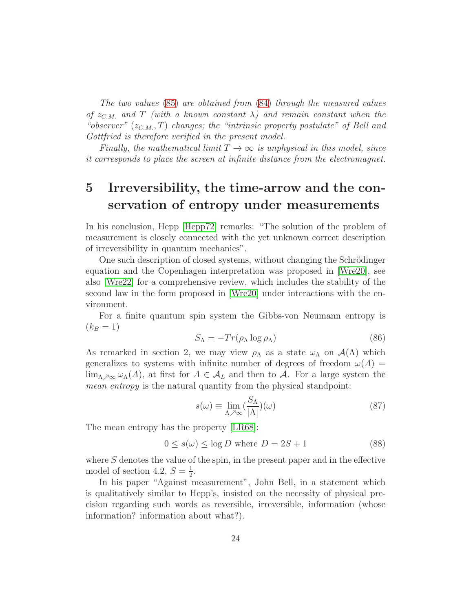The two values [\(85\)](#page-22-2) are obtained from [\(84\)](#page-22-0) through the measured values of  $z_{CM}$  and T (with a known constant  $\lambda$ ) and remain constant when the "observer"  $(z_{C.M.}, T)$  changes; the "intrinsic property postulate" of Bell and Gottfried is therefore verified in the present model.

Finally, the mathematical limit  $T \to \infty$  is unphysical in this model, since it corresponds to place the screen at infinite distance from the electromagnet.

# 5 Irreversibility, the time-arrow and the conservation of entropy under measurements

In his conclusion, Hepp [\[Hepp72\]](#page-28-1) remarks: "The solution of the problem of measurement is closely connected with the yet unknown correct description of irreversibility in quantum mechanics".

One such description of closed systems, without changing the Schrödinger equation and the Copenhagen interpretation was proposed in [\[Wre20\]](#page-28-6), see also [\[Wre22\]](#page-29-13) for a comprehensive review, which includes the stability of the second law in the form proposed in [\[Wre20\]](#page-28-6) under interactions with the environment.

For a finite quantum spin system the Gibbs-von Neumann entropy is  $(k_B = 1)$ 

$$
S_{\Lambda} = -Tr(\rho_{\Lambda} \log \rho_{\Lambda})
$$
\n(86)

As remarked in section 2, we may view  $\rho_{\Lambda}$  as a state  $\omega_{\Lambda}$  on  $\mathcal{A}(\Lambda)$  which generalizes to systems with infinite number of degrees of freedom  $\omega(A)$  $\lim_{\Lambda \nearrow \infty} \omega_{\Lambda}(A)$ , at first for  $A \in \mathcal{A}_L$  and then to  $\mathcal{A}$ . For a large system the mean entropy is the natural quantity from the physical standpoint:

$$
s(\omega) \equiv \lim_{\Lambda \nearrow \infty} \left(\frac{S_{\Lambda}}{|\Lambda|}\right)(\omega) \tag{87}
$$

The mean entropy has the property [\[LR68\]](#page-30-3):

$$
0 \le s(\omega) \le \log D \text{ where } D = 2S + 1 \tag{88}
$$

where  $S$  denotes the value of the spin, in the present paper and in the effective model of section 4.2,  $S = \frac{1}{2}$  $\frac{1}{2}$ .

In his paper "Against measurement", John Bell, in a statement which is qualitatively similar to Hepp's, insisted on the necessity of physical precision regarding such words as reversible, irreversible, information (whose information? information about what?).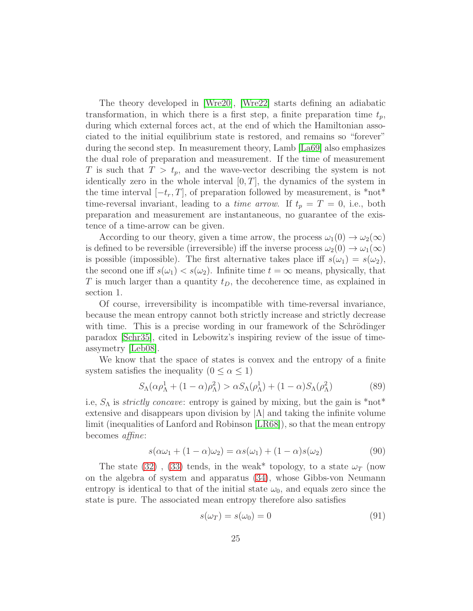The theory developed in [\[Wre20\]](#page-28-6), [\[Wre22\]](#page-29-13) starts defining an adiabatic transformation, in which there is a first step, a finite preparation time  $t_p$ , during which external forces act, at the end of which the Hamiltonian associated to the initial equilibrium state is restored, and remains so "forever" during the second step. In measurement theory, Lamb [\[La69\]](#page-31-9) also emphasizes the dual role of preparation and measurement. If the time of measurement T is such that  $T > t_p$ , and the wave-vector describing the system is not identically zero in the whole interval  $[0, T]$ , the dynamics of the system in the time interval  $[-t_r, T]$ , of preparation followed by measurement, is \*not\* time-reversal invariant, leading to a *time arrow*. If  $t_p = T = 0$ , i.e., both preparation and measurement are instantaneous, no guarantee of the existence of a time-arrow can be given.

According to our theory, given a time arrow, the process  $\omega_1(0) \to \omega_2(\infty)$ is defined to be reversible (irreversible) iff the inverse process  $\omega_2(0) \to \omega_1(\infty)$ is possible (impossible). The first alternative takes place iff  $s(\omega_1) = s(\omega_2)$ , the second one iff  $s(\omega_1) < s(\omega_2)$ . Infinite time  $t = \infty$  means, physically, that T is much larger than a quantity  $t_D$ , the decoherence time, as explained in section 1.

Of course, irreversibility is incompatible with time-reversal invariance, because the mean entropy cannot both strictly increase and strictly decrease with time. This is a precise wording in our framework of the Schrödinger paradox [\[Schr35\]](#page-29-3), cited in Lebowitz's inspiring review of the issue of timeassymetry [\[Leb08\]](#page-31-10).

We know that the space of states is convex and the entropy of a finite system satisfies the inequality  $(0 \le \alpha \le 1)$ 

$$
S_{\Lambda}(\alpha \rho_{\Lambda}^1 + (1 - \alpha)\rho_{\Lambda}^2) > \alpha S_{\Lambda}(\rho_{\Lambda}^1) + (1 - \alpha)S_{\Lambda}(\rho_{\Lambda}^2)
$$
(89)

i.e,  $S_{\Lambda}$  is *strictly concave*: entropy is gained by mixing, but the gain is \*not\* extensive and disappears upon division by  $|\Lambda|$  and taking the infinite volume limit (inequalities of Lanford and Robinson [\[LR68\]](#page-30-3)), so that the mean entropy becomes affine:

<span id="page-24-0"></span>
$$
s(\alpha\omega_1 + (1 - \alpha)\omega_2) = \alpha s(\omega_1) + (1 - \alpha)s(\omega_2)
$$
\n(90)

The state [\(32\)](#page-10-0), [\(33\)](#page-10-1) tends, in the weak\* topology, to a state  $\omega_T$  (now on the algebra of system and apparatus [\(34\)](#page-10-2), whose Gibbs-von Neumann entropy is identical to that of the initial state  $\omega_0$ , and equals zero since the state is pure. The associated mean entropy therefore also satisfies

<span id="page-24-1"></span>
$$
s(\omega_T) = s(\omega_0) = 0 \tag{91}
$$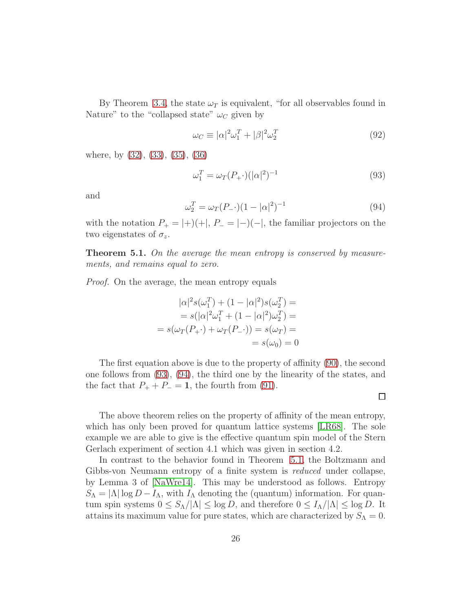By Theorem [3.4,](#page-15-3) the state  $\omega_T$  is equivalent, "for all observables found in Nature" to the "collapsed state"  $\omega_C$  given by

$$
\omega_C \equiv |\alpha|^2 \omega_1^T + |\beta|^2 \omega_2^T \tag{92}
$$

where, by [\(32\)](#page-10-0), [\(33\)](#page-10-1), [\(35\)](#page-10-5), [\(36\)](#page-10-6)

<span id="page-25-0"></span>
$$
\omega_1^T = \omega_T (P_+) (|\alpha|^2)^{-1}
$$
\n(93)

and

<span id="page-25-1"></span>
$$
\omega_2^T = \omega_T (P_-) (1 - |\alpha|^2)^{-1}
$$
\n(94)

 $\Box$ 

with the notation  $P_+ = |+)(+|, P_- = |-)(-|,$  the familiar projectors on the two eigenstates of  $\sigma_z$ .

<span id="page-25-2"></span>**Theorem 5.1.** On the average the mean entropy is conserved by measurements, and remains equal to zero.

Proof. On the average, the mean entropy equals

$$
|\alpha|^2 s(\omega_1^T) + (1 - |\alpha|^2) s(\omega_2^T) =
$$
  
=  $s(|\alpha|^2 \omega_1^T + (1 - |\alpha|^2) \omega_2^T) =$   
=  $s(\omega_T(P_+) + \omega_T(P_-)) = s(\omega_T) =$   
=  $s(\omega_0) = 0$ 

The first equation above is due to the property of affinity [\(90\)](#page-24-0), the second one follows from [\(93\)](#page-25-0), [\(94\)](#page-25-1), the third one by the linearity of the states, and the fact that  $P_+ + P_- = 1$ , the fourth from [\(91\)](#page-24-1).

The above theorem relies on the property of affinity of the mean entropy, which has only been proved for quantum lattice systems [\[LR68\]](#page-30-3). The sole example we are able to give is the effective quantum spin model of the Stern Gerlach experiment of section 4.1 which was given in section 4.2.

In contrast to the behavior found in Theorem [5.1,](#page-25-2) the Boltzmann and Gibbs-von Neumann entropy of a finite system is reduced under collapse, by Lemma 3 of [\[NaWre14\]](#page-29-8). This may be understood as follows. Entropy  $S_{\Lambda} = |\Lambda| \log D - I_{\Lambda}$ , with  $I_{\Lambda}$  denoting the (quantum) information. For quantum spin systems  $0 \leq S_{\Lambda}/|\Lambda| \leq \log D$ , and therefore  $0 \leq I_{\Lambda}/|\Lambda| \leq \log D$ . It attains its maximum value for pure states, which are characterized by  $S_\Lambda = 0$ .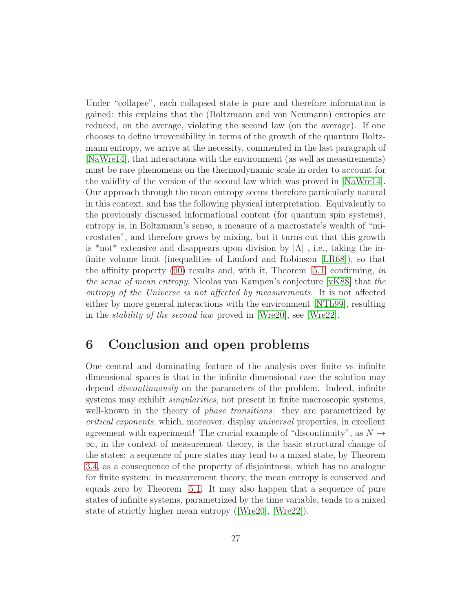Under "collapse", each collapsed state is pure and therefore information is gained: this explains that the (Boltzmann and von Neumann) entropies are reduced, on the average, violating the second law (on the average). If one chooses to define irreversibility in terms of the growth of the quantum Boltzmann entropy, we arrive at the necessity, commented in the last paragraph of [\[NaWre14\]](#page-29-8), that interactions with the environment (as well as measurements) must be rare phenomena on the thermodynamic scale in order to account for the validity of the version of the second law which was proved in [\[NaWre14\]](#page-29-8). Our approach through the mean entropy seems therefore particularly natural in this context, and has the following physical interpretation. Equivalently to the previously discussed informational content (for quantum spin systems), entropy is, in Boltzmann's sense, a measure of a macrostate's wealth of "microstates", and therefore grows by mixing, but it turns out that this growth is \*not\* extensive and disappears upon division by  $|\Lambda|$ , i.e., taking the infinite volume limit (inequalities of Lanford and Robinson [\[LR68\]](#page-30-3)), so that the affinity property [\(90\)](#page-24-0) results and, with it, Theorem [5.1,](#page-25-2) confirming, in the sense of mean entropy, Nicolas van Kampen's conjecture [\[vK88\]](#page-30-4) that the entropy of the Universe is not affected by measurements. It is not affected either by more general interactions with the environment [\[NTh99\]](#page-29-2), resulting in the stability of the second law proved in [\[Wre20\]](#page-28-6), see [\[Wre22\]](#page-29-13).

## 6 Conclusion and open problems

One central and dominating feature of the analysis over finite vs infinite dimensional spaces is that in the infinite dimensional case the solution may depend *discontinuously* on the parameters of the problem. Indeed, infinite systems may exhibit *singularities*, not present in finite macroscopic systems, well-known in the theory of *phase transitions*: they are parametrized by critical exponents, which, moreover, display universal properties, in excellent agreement with experiment! The crucial example of "discontinuity", as  $N \rightarrow$  $\infty$ , in the context of measurement theory, is the basic structural change of the states: a sequence of pure states may tend to a mixed state, by Theorem [3.4,](#page-15-3) as a consequence of the property of disjointness, which has no analogue for finite system: in measurement theory, the mean entropy is conserved and equals zero by Theorem [5.1.](#page-25-2) It may also happen that a sequence of pure states of infinite systems, parametrized by the time variable, tends to a mixed state of strictly higher mean entropy ([\[Wre20\]](#page-28-6), [\[Wre22\]](#page-29-13)).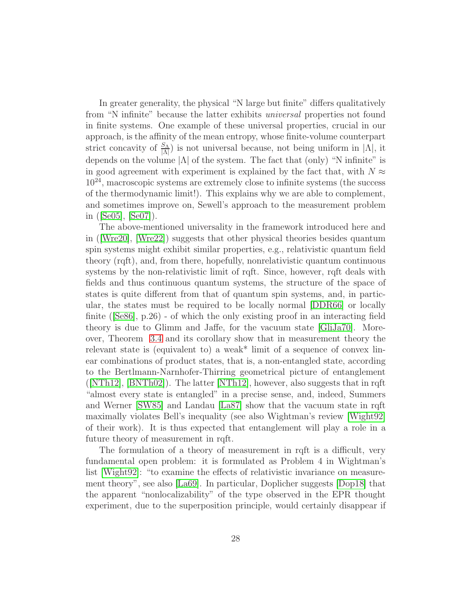In greater generality, the physical "N large but finite" differs qualitatively from "N infinite" because the latter exhibits universal properties not found in finite systems. One example of these universal properties, crucial in our approach, is the affinity of the mean entropy, whose finite-volume counterpart strict concavity of  $\frac{S_{\Lambda}}{|\Lambda|}$  is not universal because, not being uniform in  $|\Lambda|$ , it depends on the volume  $|\Lambda|$  of the system. The fact that (only) "N infinite" is in good agreement with experiment is explained by the fact that, with  $N \approx$ 10<sup>24</sup>, macroscopic systems are extremely close to infinite systems (the success of the thermodynamic limit!). This explains why we are able to complement, and sometimes improve on, Sewell's approach to the measurement problem in ([\[Se05\]](#page-29-9), [\[Se07\]](#page-29-10)).

The above-mentioned universality in the framework introduced here and in ([\[Wre20\]](#page-28-6), [\[Wre22\]](#page-29-13)) suggests that other physical theories besides quantum spin systems might exhibit similar properties, e.g., relativistic quantum field theory (rqft), and, from there, hopefully, nonrelativistic quantum continuous systems by the non-relativistic limit of rqft. Since, however, rqft deals with fields and thus continuous quantum systems, the structure of the space of states is quite different from that of quantum spin systems, and, in particular, the states must be required to be locally normal [\[DDR66\]](#page-31-11) or locally finite ([\[Se86\]](#page-30-6), p.26) - of which the only existing proof in an interacting field theory is due to Glimm and Jaffe, for the vacuum state [\[GliJa70\]](#page-32-0). Moreover, Theorem [3.4](#page-15-3) and its corollary show that in measurement theory the relevant state is (equivalent to) a weak\* limit of a sequence of convex linear combinations of product states, that is, a non-entangled state, according to the Bertlmann-Narnhofer-Thirring geometrical picture of entanglement  $([NTh12], [BNTh02])$  $([NTh12], [BNTh02])$  $([NTh12], [BNTh02])$  $([NTh12], [BNTh02])$  $([NTh12], [BNTh02])$ . The latter  $[NTh12],$  however, also suggests that in rqft "almost every state is entangled" in a precise sense, and, indeed, Summers and Werner [\[SW85\]](#page-32-3) and Landau [\[La87\]](#page-32-4) show that the vacuum state in rqft maximally violates Bell's inequality (see also Wightman's review [\[Wight92\]](#page-32-5) of their work). It is thus expected that entanglement will play a role in a future theory of measurement in rqft.

The formulation of a theory of measurement in rqft is a difficult, very fundamental open problem: it is formulated as Problem 4 in Wightman's list [\[Wight92\]](#page-32-5): "to examine the effects of relativistic invariance on measurement theory", see also [\[La69\]](#page-31-9). In particular, Doplicher suggests [\[Dop18\]](#page-28-0) that the apparent "nonlocalizability" of the type observed in the EPR thought experiment, due to the superposition principle, would certainly disappear if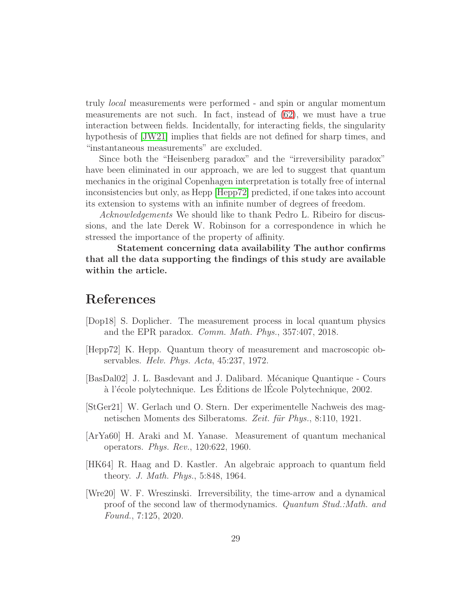truly local measurements were performed - and spin or angular momentum measurements are not such. In fact, instead of [\(62\)](#page-17-0), we must have a true interaction between fields. Incidentally, for interacting fields, the singularity hypothesis of [\[JW21\]](#page-32-6) implies that fields are not defined for sharp times, and "instantaneous measurements" are excluded.

Since both the "Heisenberg paradox" and the "irreversibility paradox" have been eliminated in our approach, we are led to suggest that quantum mechanics in the original Copenhagen interpretation is totally free of internal inconsistencies but only, as Hepp [\[Hepp72\]](#page-28-1) predicted, if one takes into account its extension to systems with an infinite number of degrees of freedom.

Acknowledgements We should like to thank Pedro L. Ribeiro for discussions, and the late Derek W. Robinson for a correspondence in which he stressed the importance of the property of affinity.

Statement concerning data availability The author confirms that all the data supporting the findings of this study are available within the article.

## References

- <span id="page-28-0"></span>[Dop18] S. Doplicher. The measurement process in local quantum physics and the EPR paradox. Comm. Math. Phys., 357:407, 2018.
- <span id="page-28-1"></span>[Hepp72] K. Hepp. Quantum theory of measurement and macroscopic observables. Helv. Phys. Acta, 45:237, 1972.
- <span id="page-28-2"></span>[BasDal02] J. L. Basdevant and J. Dalibard. M´ecanique Quantique - Cours à l'école polytechnique. Les Éditions de l'École Polytechnique, 2002.
- <span id="page-28-3"></span>[StGer21] W. Gerlach und O. Stern. Der experimentelle Nachweis des magnetischen Moments des Silberatoms. Zeit. für Phys., 8:110, 1921.
- <span id="page-28-4"></span>[ArYa60] H. Araki and M. Yanase. Measurement of quantum mechanical operators. Phys. Rev., 120:622, 1960.
- <span id="page-28-5"></span>[HK64] R. Haag and D. Kastler. An algebraic approach to quantum field theory. J. Math. Phys., 5:848, 1964.
- <span id="page-28-6"></span>[Wre20] W. F. Wreszinski. Irreversibility, the time-arrow and a dynamical proof of the second law of thermodynamics. Quantum Stud.:Math. and Found., 7:125, 2020.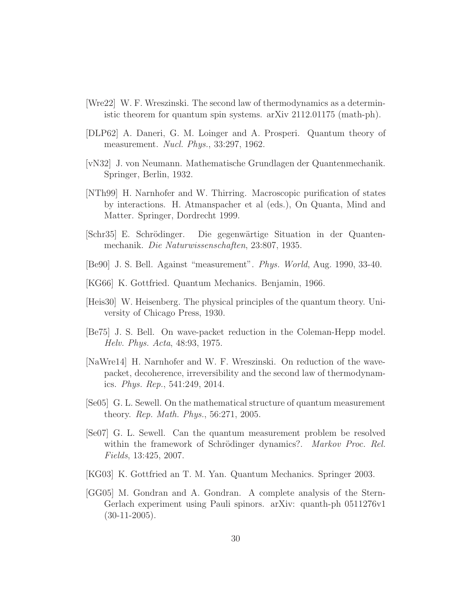- <span id="page-29-13"></span>[Wre22] W. F. Wreszinski. The second law of thermodynamics as a deterministic theorem for quantum spin systems. arXiv 2112.01175 (math-ph).
- <span id="page-29-0"></span>[DLP62] A. Daneri, G. M. Loinger and A. Prosperi. Quantum theory of measurement. Nucl. Phys., 33:297, 1962.
- <span id="page-29-1"></span>[vN32] J. von Neumann. Mathematische Grundlagen der Quantenmechanik. Springer, Berlin, 1932.
- <span id="page-29-2"></span>[NTh99] H. Narnhofer and W. Thirring. Macroscopic purification of states by interactions. H. Atmanspacher et al (eds.), On Quanta, Mind and Matter. Springer, Dordrecht 1999.
- <span id="page-29-3"></span>[Schr35] E. Schrödinger. Die gegenwärtige Situation in der Quantenmechanik. Die Naturwissenschaften, 23:807, 1935.
- <span id="page-29-4"></span>[Be90] J. S. Bell. Against "measurement". Phys. World, Aug. 1990, 33-40.
- <span id="page-29-5"></span>[KG66] K. Gottfried. Quantum Mechanics. Benjamin, 1966.
- <span id="page-29-6"></span>[Heis30] W. Heisenberg. The physical principles of the quantum theory. University of Chicago Press, 1930.
- <span id="page-29-7"></span>[Be75] J. S. Bell. On wave-packet reduction in the Coleman-Hepp model. Helv. Phys. Acta, 48:93, 1975.
- <span id="page-29-8"></span>[NaWre14] H. Narnhofer and W. F. Wreszinski. On reduction of the wavepacket, decoherence, irreversibility and the second law of thermodynamics. Phys. Rep., 541:249, 2014.
- <span id="page-29-9"></span>[Se05] G. L. Sewell. On the mathematical structure of quantum measurement theory. Rep. Math. Phys., 56:271, 2005.
- <span id="page-29-10"></span>[Se07] G. L. Sewell. Can the quantum measurement problem be resolved within the framework of Schrödinger dynamics?. Markov Proc. Rel. Fields, 13:425, 2007.
- <span id="page-29-11"></span>[KG03] K. Gottfried an T. M. Yan. Quantum Mechanics. Springer 2003.
- <span id="page-29-12"></span>[GG05] M. Gondran and A. Gondran. A complete analysis of the Stern-Gerlach experiment using Pauli spinors. arXiv: quanth-ph 0511276v1  $(30-11-2005)$ .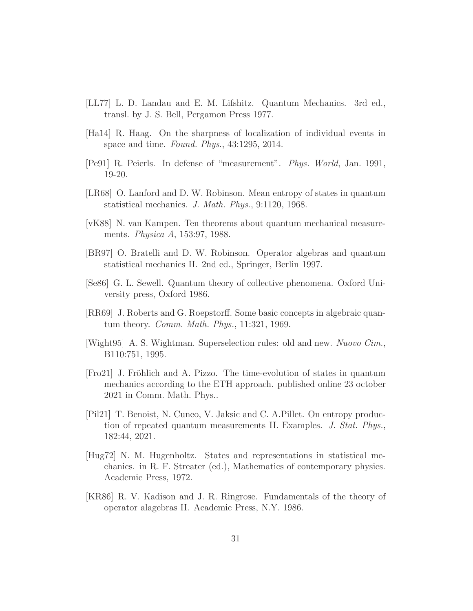- <span id="page-30-0"></span>[LL77] L. D. Landau and E. M. Lifshitz. Quantum Mechanics. 3rd ed., transl. by J. S. Bell, Pergamon Press 1977.
- <span id="page-30-1"></span>[Ha14] R. Haag. On the sharpness of localization of individual events in space and time. Found. Phys., 43:1295, 2014.
- <span id="page-30-2"></span>[Pe91] R. Peierls. In defense of "measurement". Phys. World, Jan. 1991, 19-20.
- <span id="page-30-3"></span>[LR68] O. Lanford and D. W. Robinson. Mean entropy of states in quantum statistical mechanics. J. Math. Phys., 9:1120, 1968.
- <span id="page-30-4"></span>[vK88] N. van Kampen. Ten theorems about quantum mechanical measurements. Physica A, 153:97, 1988.
- <span id="page-30-5"></span>[BR97] O. Bratelli and D. W. Robinson. Operator algebras and quantum statistical mechanics II. 2nd ed., Springer, Berlin 1997.
- <span id="page-30-6"></span>[Se86] G. L. Sewell. Quantum theory of collective phenomena. Oxford University press, Oxford 1986.
- <span id="page-30-7"></span>[RR69] J. Roberts and G. Roepstorff. Some basic concepts in algebraic quantum theory. Comm. Math. Phys., 11:321, 1969.
- <span id="page-30-8"></span>[Wight95] A. S. Wightman. Superselection rules: old and new. Nuovo Cim., B110:751, 1995.
- <span id="page-30-9"></span>[Fro21] J. Fröhlich and A. Pizzo. The time-evolution of states in quantum mechanics according to the ETH approach. published online 23 october 2021 in Comm. Math. Phys..
- <span id="page-30-10"></span>[Pil21] T. Benoist, N. Cuneo, V. Jaksic and C. A.Pillet. On entropy production of repeated quantum measurements II. Examples. J. Stat. Phys., 182:44, 2021.
- <span id="page-30-11"></span>[Hug72] N. M. Hugenholtz. States and representations in statistical mechanics. in R. F. Streater (ed.), Mathematics of contemporary physics. Academic Press, 1972.
- <span id="page-30-12"></span>[KR86] R. V. Kadison and J. R. Ringrose. Fundamentals of the theory of operator alagebras II. Academic Press, N.Y. 1986.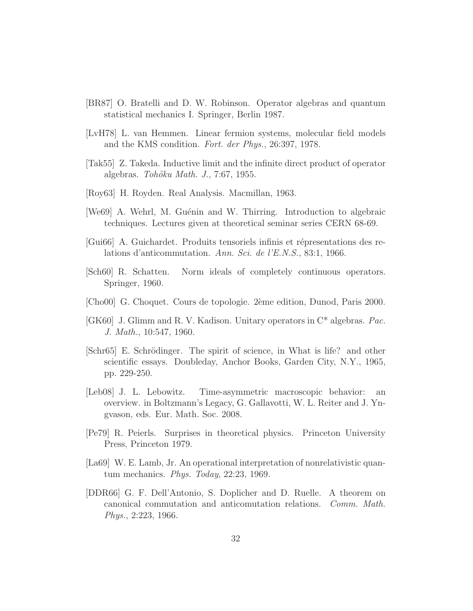- <span id="page-31-0"></span>[BR87] O. Bratelli and D. W. Robinson. Operator algebras and quantum statistical mechanics I. Springer, Berlin 1987.
- <span id="page-31-1"></span>[LvH78] L. van Hemmen. Linear fermion systems, molecular field models and the KMS condition. Fort. der Phys., 26:397, 1978.
- <span id="page-31-2"></span>[Tak55] Z. Takeda. Inductive limit and the infinite direct product of operator algebras.  $Tohôku Math. J., 7:67, 1955.$
- <span id="page-31-3"></span>[Roy63] H. Royden. Real Analysis. Macmillan, 1963.
- <span id="page-31-4"></span>[We69] A. Wehrl, M. Guénin and W. Thirring. Introduction to algebraic techniques. Lectures given at theoretical seminar series CERN 68-69.
- <span id="page-31-5"></span>[Gui66] A. Guichardet. Produits tensoriels infinis et répresentations des relations d'anticommutation. Ann. Sci. de l'E.N.S., 83:1, 1966.
- <span id="page-31-6"></span>[Sch60] R. Schatten. Norm ideals of completely continuous operators. Springer, 1960.
- <span id="page-31-7"></span>[Cho00] G. Choquet. Cours de topologie. 2`eme edition, Dunod, Paris 2000.
- <span id="page-31-8"></span>[GK60] J. Glimm and R. V. Kadison. Unitary operators in C\* algebras. Pac. J. Math., 10:547, 1960.
- [Schr65] E. Schrödinger. The spirit of science, in What is life? and other scientific essays. Doubleday, Anchor Books, Garden City, N.Y., 1965, pp. 229-250.
- <span id="page-31-10"></span>[Leb08] J. L. Lebowitz. Time-asymmetric macroscopic behavior: an overview. in Boltzmann's Legacy, G. Gallavotti, W. L. Reiter and J. Yngvason, eds. Eur. Math. Soc. 2008.
- [Pe79] R. Peierls. Surprises in theoretical physics. Princeton University Press, Princeton 1979.
- <span id="page-31-9"></span>[La69] W. E. Lamb, Jr. An operational interpretation of nonrelativistic quantum mechanics. Phys. Today, 22:23, 1969.
- <span id="page-31-11"></span>[DDR66] G. F. Dell'Antonio, S. Doplicher and D. Ruelle. A theorem on canonical commutation and anticomutation relations. Comm. Math. Phys., 2:223, 1966.